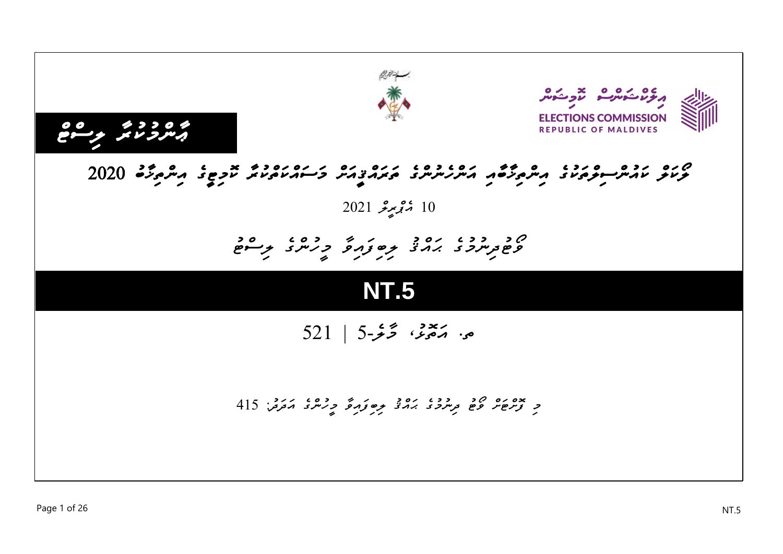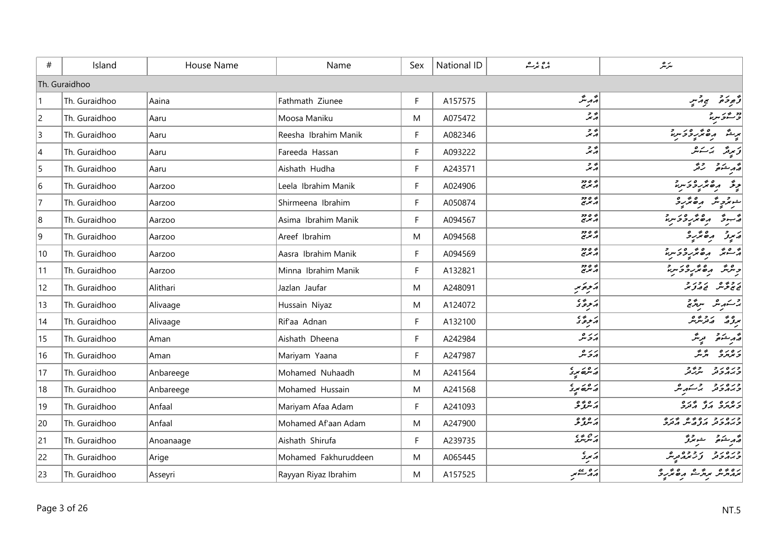| #              | Island        | House Name | Name                 | Sex | National ID | ړه پر ه               | ىئرىتر                                             |
|----------------|---------------|------------|----------------------|-----|-------------|-----------------------|----------------------------------------------------|
|                | Th. Guraidhoo |            |                      |     |             |                       |                                                    |
|                | Th. Guraidhoo | Aaina      | Fathmath Ziunee      | F   | A157575     | لمجمر يثمه            | وحجوحهم<br>ن<br>سمج <i>م</i> رکسیں                 |
| $\overline{2}$ | Th. Guraidhoo | Aaru       | Moosa Maniku         | M   | A075472     | پڑ پڑ                 | دو پر پر د                                         |
| 3              | Th. Guraidhoo | Aaru       | Reesha Ibrahim Manik | F.  | A082346     | پڑ پڑ                 | ە ھەمەر 25 سرىر<br>بەھەمەر 25 سرىر<br>  مریثہ<br>  |
| $\overline{4}$ | Th. Guraidhoo | Aaru       | Fareeda Hassan       | F.  | A093222     | پڑ پڑ                 | ۇرىگە ئەسكىل                                       |
| 5              | Th. Guraidhoo | Aaru       | Aishath Hudha        | F.  | A243571     | پڑ بڑ                 | ە ئەستىم ئىگر                                      |
| 6              | Th. Guraidhoo | Aarzoo     | Leela Ibrahim Manik  | F.  | A024906     | پر ہ دو<br>در سرج     | و ده ترود بره                                      |
| $\overline{7}$ | Th. Guraidhoo | Aarzoo     | Shirmeena Ibrahim    | F   | A050874     | پر ہ دو<br>جر بھر بح  | شرنزوینگ وره نزرد                                  |
| 8              | Th. Guraidhoo | Aarzoo     | Asima Ibrahim Manik  | F   | A094567     | پر ہ دو<br>جر بھر بح  |                                                    |
| 9              | Th. Guraidhoo | Aarzoo     | Areef Ibrahim        | M   | A094568     | پر 22 م<br>جر سر س    | ەھەرىر<br>ەسىرۇ                                    |
| 10             | Th. Guraidhoo | Aarzoo     | Aasra Ibrahim Manik  | F   | A094569     | پر 20 وو<br>جر تیر بح | لجرميمه                                            |
| 11             | Th. Guraidhoo | Aarzoo     | Minna Ibrahim Manik  | F   | A132821     | پر ہ دو<br>جر بحر بح  | ديريئر برەتزېرددىر                                 |
| 12             | Th. Guraidhoo | Alithari   | Jazlan Jaufar        | M   | A248091     | وكمعرضمة              | ر و ده مر د ر د<br>نج پی کر سمی تو بر              |
| 13             | Th. Guraidhoo | Alivaage   | Hussain Niyaz        | M   | A124072     | پر وي                 | 2 سەر شەر سورىتى                                   |
| 14             | Th. Guraidhoo | Alivaage   | Rif'aa Adnan         | F   | A132100     | ە ئوغى                | بروه مقرش                                          |
| 15             | Th. Guraidhoo | Aman       | Aishath Dheena       | F   | A242984     | ەر ھ                  | ە ئەستىمى تېرىتر                                   |
| 16             | Th. Guraidhoo | Aman       | Mariyam Yaana        | F   | A247987     | برىر ھ                | أرەرە بۇر                                          |
| 17             | Th. Guraidhoo | Anbareege  | Mohamed Nuhaadh      | M   | A241564     | پر مثرکھ سر کا        | ورەرو دەد<br><mark>ۋىرەر</mark> وتر س <i>رى</i> تر |
| 18             | Th. Guraidhoo | Anbareege  | Mohamed Hussain      | M   | A241568     | پر مثرکھ سر کا        | ورەرو ئەسەرش                                       |
| 19             | Th. Guraidhoo | Anfaal     | Mariyam Afaa Adam    | F   | A241093     | ىر ھۇيج               | ג סגם גוב בגם<br>כי <i>ג</i> ו <i>ג</i> ב גצ געב   |
| 20             | Th. Guraidhoo | Anfaal     | Mohamed Af'aan Adam  | M   | A247900     | ىر ھۇيج               | כנסגב גם 4 ם 4 גם<br>כגתכת הצבית התב               |
| 21             | Th. Guraidhoo | Anoanaage  | Aishath Shirufa      | F   | A239735     | ر ۾ ءِ ۽<br>مرس       | و ديده شورد و ديگر<br>د مرشوه شورگر                |
| 22             | Th. Guraidhoo | Arige      | Mohamed Fakhuruddeen | M   | A065445     | برىرى                 | ورەرو رووەرە<br>دىرمەدىر ۋىرىرمەيرىر               |
| 23             | Th. Guraidhoo | Asseyri    | Rayyan Riyaz Ibrahim | M   | A157525     | اړه ميمبر             | גובית <sub>אח</sub> רה הסתקב                       |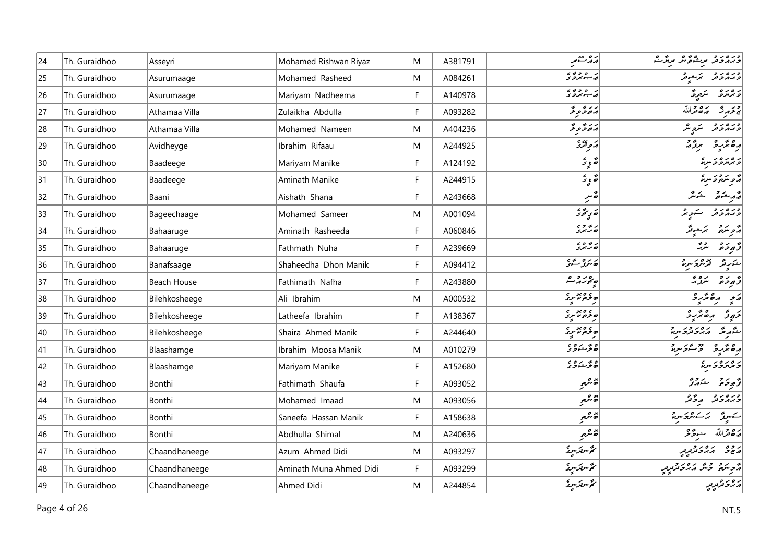| 24 | Th. Guraidhoo | Asseyri            | Mohamed Rishwan Riyaz   | M  | A381791 | لئەرىئىمىر                       | ورەرو برخۇش برېژىن                           |
|----|---------------|--------------------|-------------------------|----|---------|----------------------------------|----------------------------------------------|
| 25 | Th. Guraidhoo | Asurumaage         | Mohamed Rasheed         | M  | A084261 | ر و و » ،<br>۵. ۱۰۰۰ ترو ی       | وره رو گرشونگر<br>د <i>بر پر پی</i> پر       |
| 26 | Th. Guraidhoo | Asurumaage         | Mariyam Nadheema        | F. | A140978 | ر و و » ،<br>در سومرو د          | ر ه ر ه<br>د بربرگ<br>سكعرد                  |
| 27 | Th. Guraidhoo | Athamaa Villa      | Zulaikha Abdulla        | F  | A093282 | أبر بر محر محر                   | مەھىراللە<br>تح تحرمر جح                     |
| 28 | Th. Guraidhoo | Athamaa Villa      | Mohamed Nameen          | M  | A404236 | پرېژو څر                         | ورەرو شرك                                    |
| 29 | Th. Guraidhoo | Avidheyge          | Ibrahim Rifaau          | M  | A244925 | ر<br>پروترو                      | رە ئرىر ئىرزە                                |
| 30 | Th. Guraidhoo | Baadeege           | Mariyam Manike          | F  | A124192 | ره<br>ځمنونه                     |                                              |
| 31 | Th. Guraidhoo | Baadeege           | Aminath Manike          | F  | A244915 | ره<br>خونه                       | و گر دیگر دیگر<br>مقرم میکند                 |
| 32 | Th. Guraidhoo | Baani              | Aishath Shana           | F  | A243668 | ځ سر                             | قەرشكى شكىگر                                 |
| 33 | Th. Guraidhoo | Bageechaage        | Mohamed Sameer          | M  | A001094 | ر<br>ئەس ئە                      | ورور و مسکو مرکز<br>ویروژند سکو مر           |
| 34 | Th. Guraidhoo | Bahaaruge          | Aminath Rasheeda        | F. | A060846 | ر و د د<br>ن <i>ن تر</i> بور     | أروسكو<br>ىمەسىيە قىر                        |
| 35 | Th. Guraidhoo | Bahaaruge          | Fathmath Nuha           | F  | A239669 | ر پر و ،<br>ن <i>ن تر</i> د      | سرمر<br>و پر د<br>ترجو پر و                  |
| 36 | Th. Guraidhoo | Banafsaage         | Shaheedha Dhon Manik    | F. | A094412 | پر په وي.<br>ح <i>صرتي څ</i> ن   | شَرِيرٌ مُرْسْرَ سِرِيرٌ                     |
| 37 | Th. Guraidhoo | <b>Beach House</b> | Fathimath Nafha         | F  | A243880 | 27.80                            | وٌ وَدَ مَنْ اللَّهُ اللَّهُ اللَّهُ اللَّهُ |
| 38 | Th. Guraidhoo | Bilehkosheege      | Ali Ibrahim             | M  | A000532 | ه وه بور ه<br>موهوما مړي         | ړنو ره ټر د                                  |
| 39 | Th. Guraidhoo | Bilehkosheege      | Latheefa Ibrahim        | F. | A138367 | ه وه د د و د و د کاله د د کاله ا | خبورٌ مڤتربردٌ                               |
| 40 | Th. Guraidhoo | Bilehkosheege      | Shaira Ahmed Manik      | F. | A244640 | ه وه د مور<br>را موهون مورد      | أشور مدور ور                                 |
| 41 | Th. Guraidhoo | Blaashamge         | Ibrahim Moosa Manik     | M  | A010279 | ە بەر دە ،<br>ھۇستىۋى            | $\frac{1}{2}$                                |
| 42 | Th. Guraidhoo | Blaashamge         | Mariyam Manike          | F  | A152680 | ە ئۇشەرى<br>ھۇشەرى               | ر ه ر ه ر په                                 |
| 43 | Th. Guraidhoo | Bonthi             | Fathimath Shaufa        | F. | A093052 | بره<br>حصرم                      | وٌمِوَدَةٌ جَنْدَوٌ                          |
| 44 | Th. Guraidhoo | Bonthi             | Mohamed Imaad           | M  | A093056 | بره<br>صنرم                      | כנה כני הבית                                 |
| 45 | Th. Guraidhoo | Bonthi             | Saneefa Hassan Manik    | F  | A158638 | قة شهجه                          | التاسرة الاستاندة سربة                       |
| 46 | Th. Guraidhoo | Bonthi             | Abdhulla Shimal         | M  | A240636 | لقسمر                            | ره دالله خود و                               |
| 47 | Th. Guraidhoo | Chaandhaneege      | Azum Ahmed Didi         | M  | A093297 | سيسبو<br>گوسرټر سرچ              | ر وه در در ورور<br>در پر در در در در در ا    |
| 48 | Th. Guraidhoo | Chaandhaneege      | Aminath Muna Ahmed Didi | F. | A093299 | كۇسىترسرىگە                      | و برد و و بره بروتر در د                     |
| 49 | Th. Guraidhoo | Chaandhaneege      | Ahmed Didi              | M  | A244854 | ڭوسىترس <sub>ى</sub><br>ئ        | ر ج ر و<br>  پر پر تر تر تر                  |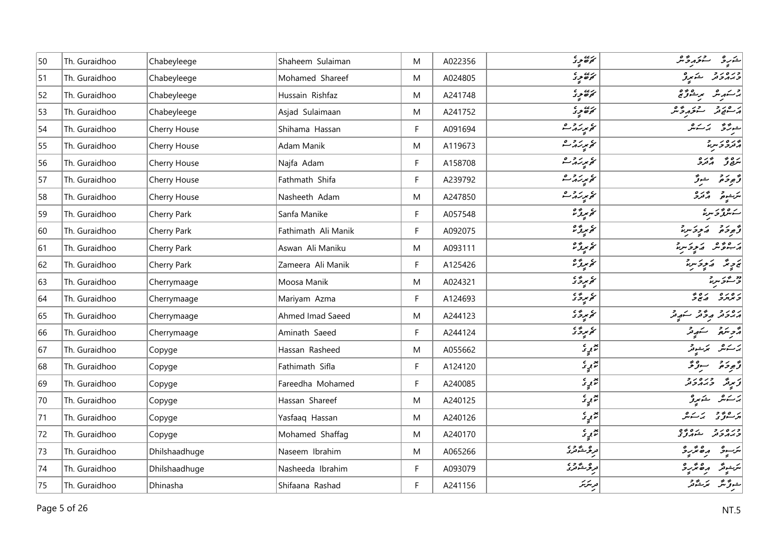| 50 | Th. Guraidhoo | Chabeyleege   | Shaheem Sulaiman    | ${\sf M}$ | A022356 | ري ء<br>کوھ پر د                     | شَرِدْ سْمَعْ مِرْدَّرْ                         |
|----|---------------|---------------|---------------------|-----------|---------|--------------------------------------|-------------------------------------------------|
| 51 | Th. Guraidhoo | Chabeyleege   | Mohamed Shareef     | ${\sf M}$ | A024805 | ری دی<br>نموه د پر                   | ورەرو شەرو                                      |
| 52 | Th. Guraidhoo | Chabeyleege   | Hussain Rishfaz     | ${\sf M}$ | A241748 | ري ء<br>کوھ پر د                     | د کشمیر شده بر مشور می                          |
| 53 | Th. Guraidhoo | Chabeyleege   | Asjad Sulaimaan     | M         | A241752 | ري د<br>کوه مړي                      | كەسىم سىم ئەس                                   |
| 54 | Th. Guraidhoo | Cherry House  | Shihama Hassan      | F         | A091694 | ىج بىر ئەرم<br>سى                    | لمورَّقُ الرَكْسُ                               |
| 55 | Th. Guraidhoo | Cherry House  | Adam Manik          | ${\sf M}$ | A119673 | ىم بېرىز مە                          | پر ده ر<br>د ترو د سربا                         |
| 56 | Th. Guraidhoo | Cherry House  | Najfa Adam          | F         | A158708 | ى<br>كىم بېرىر قەت                   | ىرە بە ئەرە                                     |
| 57 | Th. Guraidhoo | Cherry House  | Fathmath Shifa      | F         | A239792 | ىج بىر ئەرمى<br>سى                   | و ده شورم<br>د مرد شور                          |
| 58 | Th. Guraidhoo | Cherry House  | Nasheeth Adam       | ${\sf M}$ | A247850 | ىج بىر ئەرمى<br>سى                   | نگرېشوه مرکزي<br>په مرکز                        |
| 59 | Th. Guraidhoo | Cherry Park   | Sanfa Manike        | F         | A057548 | ى<br>كۈمپەترىك                       | ر مەمۇرىسى <i>،</i>                             |
| 60 | Th. Guraidhoo | Cherry Park   | Fathimath Ali Manik | F         | A092075 | ې موږ ده<br>محمو موږ                 | وجودة مودسة                                     |
| 61 | Th. Guraidhoo | Cherry Park   | Aswan Ali Maniku    | M         | A093111 | ى<br>كۈمپەرتى                        |                                                 |
| 62 | Th. Guraidhoo | Cherry Park   | Zameera Ali Manik   | F         | A125426 | ى<br>كۈمپەترىك                       | تجرجة المرجو كالمراثة                           |
| 63 | Th. Guraidhoo | Cherrymaage   | Moosa Manik         | ${\sf M}$ | A024321 | ې مورځ د<br>کنمو مور <sup>ځ</sup> ک  | أوسنور                                          |
| 64 | Th. Guraidhoo | Cherrymaage   | Mariyam Azma        | F         | A124693 | ې پر دي<br>کو پر د ک                 | روره ره و                                       |
| 65 | Th. Guraidhoo | Cherrymaage   | Ahmed Imad Saeed    | ${\sf M}$ | A244123 | ې پر دي<br>کو پر د ک                 | גפנים בכבר הבבר                                 |
| 66 | Th. Guraidhoo | Cherrymaage   | Aminath Saeed       | F         | A244124 | ې مورځ د<br>کنمو مور <sup>ځ</sup> ک  |                                                 |
| 67 | Th. Guraidhoo | Copyge        | Hassan Rasheed      | M         | A055662 | لتعمير                               | ىز كەش ئىزىش <sub>و</sub> تر                    |
| 68 | Th. Guraidhoo | Copyge        | Fathimath Sifla     | F         | A124120 | لتعمير                               | قرموقر فلتسوقر                                  |
| 69 | Th. Guraidhoo | Copyge        | Fareedha Mohamed    | F         | A240085 | بر<br>  مور تر                       | تو پره دره دره                                  |
| 70 | Th. Guraidhoo | Copyge        | Hassan Shareef      | ${\sf M}$ | A240125 | بيو په<br>مسجونه                     | ىز ئىكىش سىتىرىۋ                                |
| 71 | Th. Guraidhoo | Copyge        | Yasfaaq Hassan      | M         | A240126 | لتعمير                               | ېز موج پر پر تند                                |
| 72 | Th. Guraidhoo | Copyge        | Mohamed Shaffag     | ${\sf M}$ | A240170 | بر<br>  مور تر                       | وره رو در ده ده<br><i>وبرو</i> ور شه <i>و</i> ر |
| 73 | Th. Guraidhoo | Dhilshaadhuge | Naseem Ibrahim      | ${\sf M}$ | A065266 | در ژمنگ <sup>ور</sup> و بر           |                                                 |
| 74 | Th. Guraidhoo | Dhilshaadhuge | Nasheeda Ibrahim    | F         | A093079 | در و شور و <sup>ه</sup><br>در و شودر | ترجينته وهندرد                                  |
| 75 | Th. Guraidhoo | Dhinasha      | Shifaana Rashad     | F         | A241156 | ويتزيز                               | شوقر شرقر مرکز می                               |
|    |               |               |                     |           |         |                                      |                                                 |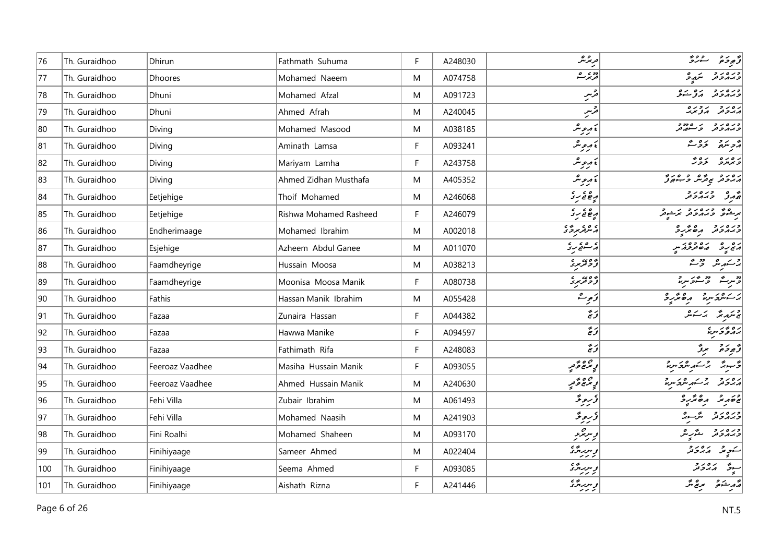| 76  | Th. Guraidhoo | Dhirun          | Fathmath Suhuma        | F         | A248030 | مرىژىنز                                          | أوالمحج وأنجد والمحترمة                                   |
|-----|---------------|-----------------|------------------------|-----------|---------|--------------------------------------------------|-----------------------------------------------------------|
| 77  | Th. Guraidhoo | <b>Dhoores</b>  | Mohamed Naeem          | M         | A074758 | دد ،<br>تربر ک                                   | ورەرو شھوڭ                                                |
| 78  | Th. Guraidhoo | Dhuni           | Mohamed Afzal          | M         | A091723 | قرسر                                             | ورەرو رەپرو                                               |
| 79  | Th. Guraidhoo | <b>Dhuni</b>    | Ahmed Afrah            | M         | A240045 | قرسر                                             | גפגב גבגם<br>הגבע הציבג                                   |
| 80  | Th. Guraidhoo | Diving          | Mohamed Masood         | M         | A038185 | ائەمرەش<br><u>ئىست</u>                           | כנים נים נים בבית.<br>הממיכות הבאיניות                    |
| 81  | Th. Guraidhoo | Diving          | Aminath Lamsa          | F         | A093241 | ئەمرەپىر<br>م                                    | أأدح يتركم والمحاور والمستحر                              |
| 82  | Th. Guraidhoo | Diving          | Mariyam Lamha          | F         | A243758 | ئەمرەبىر<br>م                                    | رەرە رەپ                                                  |
| 83  | Th. Guraidhoo | Diving          | Ahmed Zidhan Musthafa  | ${\sf M}$ | A405352 | ئەمرە <sub>م</sub> ىر                            | رور و پرتر و در و                                         |
| 84  | Th. Guraidhoo | Eetjehige       | Thoif Mohamed          | ${\sf M}$ | A246068 | <br> پرهغ سر <sup>ي</sup>                        | ح وره در د                                                |
| 85  | Th. Guraidhoo | Eetjehige       | Rishwa Mohamed Rasheed | F         | A246079 | <br> پره فخ سر د                                 | برشوش وبره بر بر بر شوتر<br>  بر شوش وبر بر در بر بر شوتر |
| 86  | Th. Guraidhoo | Endherimaage    | Mohamed Ibrahim        | M         | A002018 | ء عرو سرچ <sub>ک</sub>                           | وره دو مره مرد                                            |
| 87  | Th. Guraidhoo | Esjehige        | Azheem Abdul Ganee     | M         | A011070 | ې مه دې دي<br>مرگ شونځ سري                       | גם כ גם כפנית                                             |
| 88  | Th. Guraidhoo | Faamdheyrige    | Hussain Moosa          | M         | A038213 | وه وروسي مح<br>  قرى قرىبرى                      | بر کے مر شر حر ش                                          |
| 89  | Th. Guraidhoo | Faamdheyrige    | Moonisa Moosa Manik    | F         | A080738 | و ه در می<br><mark>از</mark> <del>و</del> تعریبی |                                                           |
| 90  | Th. Guraidhoo | Fathis          | Hassan Manik Ibrahim   | ${\sf M}$ | A055428 | ائر <sub>مو</sub> ر<br>—                         | גבית ביתי הפיתיבי<br>גבית היה הפיתיבי                     |
| 91  | Th. Guraidhoo | Fazaa           | Zunaira Hassan         | F         | A044382 | ترتج                                             |                                                           |
| 92  | Th. Guraidhoo | Fazaa           | Hawwa Manike           | F         | A094597 | تریخ                                             | رە ۋىرىدى<br>ئەمۇمەر                                      |
| 93  | Th. Guraidhoo | Fazaa           | Fathimath Rifa         | F         | A248083 | ترتج                                             | وٌودَهُ بِروٌ                                             |
| 94  | Th. Guraidhoo | Feeroaz Vaadhee | Masiha Hussain Manik   | F.        | A093055 | ر ه ه و و.<br>پ <sub>ر</sub> برج قریب            |                                                           |
| 95  | Th. Guraidhoo | Feeroaz Vaadhee | Ahmed Hussain Manik    | M         | A240630 | ە ە ھ<br>پ <sub>و</sub> تىرىج ھ <sup>5</sup> ىپە | גפנג גישון ובציינו                                        |
| 96  | Th. Guraidhoo | Fehi Villa      | Zubair Ibrahim         | M         | A061493 | ۇ رە <sub>م</sub> ۇ                              | ו מו הסתיב                                                |
| 97  | Th. Guraidhoo | Fehi Villa      | Mohamed Naasih         | M         | A241903 | ۇ روڭر<br>ر                                      | ورەر د شرىدۇ                                              |
| 98  | Th. Guraidhoo | Fini Roalhi     | Mohamed Shaheen        | M         | A093170 | وسرچمو                                           | ورەرو ھۇرىر                                               |
| 99  | Th. Guraidhoo | Finihiyaage     | Sameer Ahmed           | M         | A022404 | و سربر پر د<br>گرم کر د                          | سَوِيرُ - 1977مر                                          |
| 100 | Th. Guraidhoo | Finihiyaage     | Seema Ahmed            | F         | A093085 | او سربر پوءِ<br>سربر پوءِ                        | سوش مەرەبىر                                               |
| 101 | Th. Guraidhoo | Finihiyaage     | Aishath Rizna          | F         | A241446 | او سربر پوځ<br><u>د د د د</u>                    | قەرشۇق بىرى ئىگە                                          |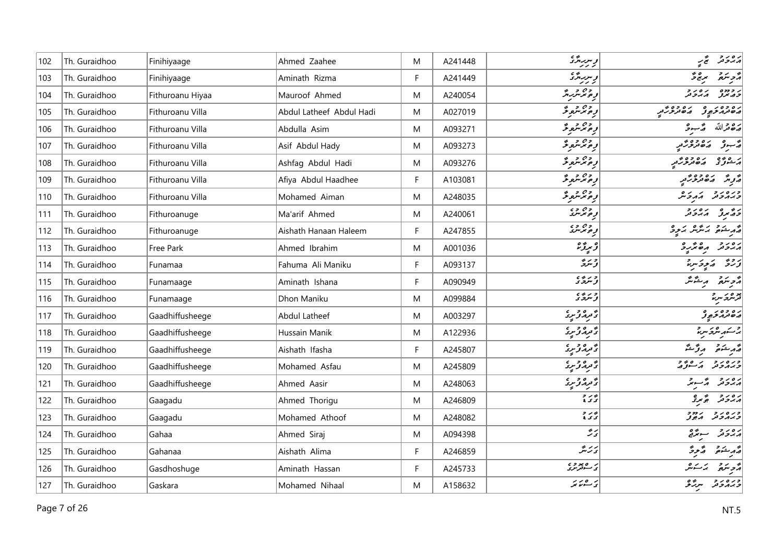| 102 | Th. Guraidhoo | Finihiyaage      | Ahmed Zaahee             | M  | A241448 | او سربر پوءِ<br>سربر پوءِ                      | بروئر تر<br>$\zeta$                                           |
|-----|---------------|------------------|--------------------------|----|---------|------------------------------------------------|---------------------------------------------------------------|
| 103 | Th. Guraidhoo | Finihiyaage      | Aminath Rizma            | F. | A241449 | او سربر پر تا<br>است                           | أرمز<br>برج وٌ                                                |
| 104 | Th. Guraidhoo | Fithuroanu Hiyaa | Mauroof Ahmed            | M  | A240054 | وه تر مربر                                     | ر و دوه<br><i>و ډ</i> يمرنې<br>پرورو                          |
| 105 | Th. Guraidhoo | Fithuroanu Villa | Abdul Latheef Abdul Hadi | M  | A027019 | ر ەم ئەسرە ئە                                  | رە وە ئە<br>ھەھىرىمەتىر<br>ره وه ر<br>مەھىرم <del>خ</del> ېرۇ |
| 106 | Th. Guraidhoo | Fithuroanu Villa | Abdulla Asim             | M  | A093271 | وه بر متبوځه                                   | رَة قرالله قرجو                                               |
| 107 | Th. Guraidhoo | Fithuroanu Villa | Asif Abdul Hady          | M  | A093273 | رەم ئەسىرىگە<br>بوھ ئىرسرى ئى                  | ر ۵۶۵۶ و.<br>پره ترڅرگتړ<br>وَيسبور                           |
| 108 | Th. Guraidhoo | Fithuroanu Villa | Ashfag Abdul Hadi        | M  | A093276 | د ەممىر بۇ                                     | ر ەم بەر دەرەپر<br>مۇسۇرى مەھىرىرىس                           |
| 109 | Th. Guraidhoo | Fithuroanu Villa | Afiya Abdul Haadhee      | F  | A103081 | ارچ محر ش <sub>عر</sub> محه                    | أورو ماه وه و و بر                                            |
| 110 | Th. Guraidhoo | Fithuroanu Villa | Mohamed Aiman            | M  | A248035 | وه چر شعر مح                                   | כגמני התכיל                                                   |
| 111 | Th. Guraidhoo | Fithuroanuge     | Ma'arif Ahmed            | M  | A240061 | وه د ه د ه                                     | أورسمو برەر د                                                 |
| 112 | Th. Guraidhoo | Fithuroanuge     | Aishath Hanaan Haleem    | F. | A247855 | و و ۵ و ۷<br>و ه مرس                           | ە ئەسىم ئەرگەر ئەبرو                                          |
| 113 | Th. Guraidhoo | Free Park        | Ahmed Ibrahim            | M  | A001036 | ە بېرۇر<br>ئ                                   | גפני גפיגר                                                    |
| 114 | Th. Guraidhoo | Funamaa          | Fahuma Ali Maniku        | F  | A093137 | و ر پر<br>تر سرچ                               | وروه كالمود سره                                               |
| 115 | Th. Guraidhoo | Funamaage        | Aminath Ishana           | F  | A090949 | و ر د د<br>توسرچ د                             | ۇرسىتى مەشكىگە                                                |
| 116 | Th. Guraidhoo | Funamaage        | Dhon Maniku              | M  | A099884 | و پر پر پر<br>توسر <del>ی</del> ر <sub>ک</sub> | پر ور پر د                                                    |
| 117 | Th. Guraidhoo | Gaadhiffusheege  | Abdul Latheef            | M  | A003297 | و مره و مړي<br>د مره و مړي                     | ره وه ر<br>په هنرمر <del>کر</del> ېږ                          |
| 118 | Th. Guraidhoo | Gaadhiffusheege  | Hussain Manik            | M  | A122936 | ۇ پەرە ج <sub>بىرى</sub>                       | جر سنهر مثر بیز سر                                            |
| 119 | Th. Guraidhoo | Gaadhiffusheege  | Aishath Ifasha           | F. | A245807 | ۇ ئىرەر ئەر ئە                                 | ۇرىشقى رۇڭ                                                    |
| 120 | Th. Guraidhoo | Gaadhiffusheege  | Mohamed Asfau            | M  | A245809 | ۇ يەرە دىرى<br>ئ <sup>ۇ</sup> يېرو تېرى        | כנסני ה"ס בי                                                  |
| 121 | Th. Guraidhoo | Gaadhiffusheege  | Ahmed Aasir              | M  | A248063 | ۇ مرەر توپە                                    | גם גב" הרייב                                                  |
| 122 | Th. Guraidhoo | Gaagadu          | Ahmed Thorigu            | M  | A246809 | ء ر د<br>گ ک کا                                | رەرر ئەرە                                                     |
| 123 | Th. Guraidhoo | Gaagadu          | Mohamed Athoof           | M  | A248082 | پر د<br>تر ک                                   | כנסנכ נדבר<br><i>כג</i> מכת מפצ                               |
| 124 | Th. Guraidhoo | Gahaa            | Ahmed Siraj              | M  | A094398 | ىزچ                                            | ره رو سوره<br>پرېژنو سوري                                     |
| 125 | Th. Guraidhoo | Gahanaa          | Aishath Alima            | F  | A246859 | ئەزىتر                                         | وأرشنتم وكروكة                                                |
| 126 | Th. Guraidhoo | Gasdhoshuge      | Aminath Hassan           | F. | A245733 | ر ۔ 2 پر و ۽<br>ي سنگرمزي                      | ړې سرچ<br>برسەمىر                                             |
| 127 | Th. Guraidhoo | Gaskara          | Mohamed Nihaal           | M  | A158632 | ر ۱۳۷۵ تن                                      | ورەر د سرگو<br><i>جەم</i> ەدىر سر <i>گ</i> ۇ                  |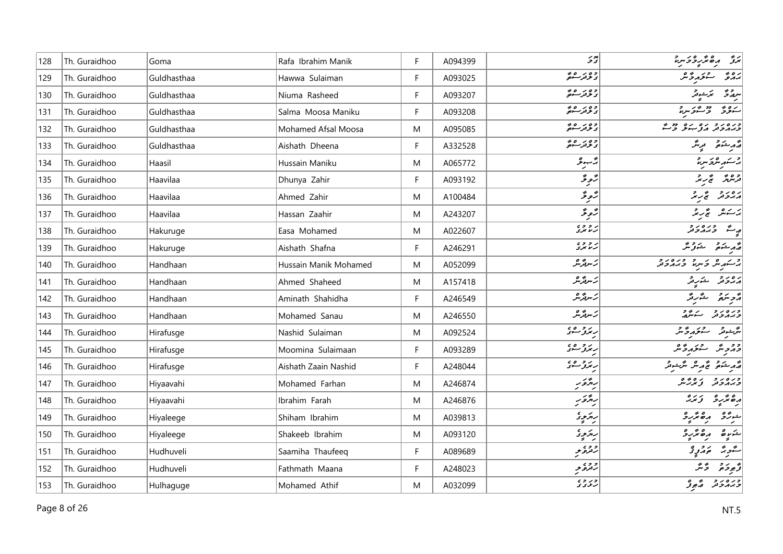| 128 | Th. Guraidhoo | Goma        | Rafa Ibrahim Manik    | F         | A094399 | $\mathcal{Z}^{\times}_{\mathcal{Z}}$         | برو مەھرىردى بىر                                                                 |
|-----|---------------|-------------|-----------------------|-----------|---------|----------------------------------------------|----------------------------------------------------------------------------------|
| 129 | Th. Guraidhoo | Guldhasthaa | Hawwa Sulaiman        | F         | A093025 | و ه بر _ه پ<br>پ موترسسه                     | رەپچ<br>سىمۇمە <i>ۋ</i> ىگە                                                      |
| 130 | Th. Guraidhoo | Guldhasthaa | Niuma Rasheed         | F         | A093207 | و ه د ره پ <sub>ه</sub><br>د نوترسو <i>ن</i> | سرود كرجيد                                                                       |
| 131 | Th. Guraidhoo | Guldhasthaa | Salma Moosa Maniku    | F         | A093208 | و ه بر ۵ پر<br>پی تونسر شخصی                 | سكوفر والمستوكين                                                                 |
| 132 | Th. Guraidhoo | Guldhasthaa | Mohamed Afsal Moosa   | M         | A095085 | و ه بر ۵ پر<br>پر نوترسو <i>ن</i>            | ورەر د رە رە دە بە<br><i>دى</i> رى دىر بەنگەنى ب                                 |
| 133 | Th. Guraidhoo | Guldhasthaa | Aishath Dheena        | F         | A332528 | و ه بر _ه پ <sub>چ</sub>                     | أقرم شكوته فرينگر                                                                |
| 134 | Th. Guraidhoo | Haasil      | Hussain Maniku        | ${\sf M}$ | A065772 | ترسوعه                                       | جر سے مریکر شریفر                                                                |
| 135 | Th. Guraidhoo | Haavilaa    | Dhunya Zahir          | F         | A093192 | ر<br>روپو                                    | أقرش محمر محمر مر                                                                |
| 136 | Th. Guraidhoo | Haavilaa    | Ahmed Zahir           | ${\sf M}$ | A100484 | تروتر                                        | رەرد ئېرىر                                                                       |
| 137 | Th. Guraidhoo | Haavilaa    | Hassan Zaahir         | M         | A243207 | ٿءِ ٿُر                                      | يرك متاسر المح بالرقمة                                                           |
| 138 | Th. Guraidhoo | Hakuruge    | Easa Mohamed          | M         | A022607 | ر و و ،<br>رما موی                           | ړ دره دو                                                                         |
| 139 | Th. Guraidhoo | Hakuruge    | Aishath Shafna        | F         | A246291 | ر و و ،<br>رما موی                           | ۇرمۇق شۇرگە                                                                      |
| 140 | Th. Guraidhoo | Handhaan    | Hussain Manik Mohamed | M         | A052099 | ئەس <i>ەرگەن</i> گە                          | ב האנייר ביינוד בגוביה.<br>הביינוד ביינוד בגוביה                                 |
| 141 | Th. Guraidhoo | Handhaan    | Ahmed Shaheed         | M         | A157418 | ئەس <i>ەرگەن</i> گە                          | پرورو شرید                                                                       |
| 142 | Th. Guraidhoo | Handhaan    | Aminath Shahidha      | F         | A246549 | ر<br>سر پر بگر                               | أرمح سقر مقررته                                                                  |
| 143 | Th. Guraidhoo | Handhaan    | Mohamed Sanau         | M         | A246550 | ئەس <i>ەرگەن</i> گە                          | ورەرو سەھر                                                                       |
| 144 | Th. Guraidhoo | Hirafusge   | Nashid Sulaiman       | M         | A092524 | رىز ۋرە ئ                                    | ن <i>ىرىشونر سىۋىرۇنىر</i>                                                       |
| 145 | Th. Guraidhoo | Hirafusge   | Moomina Sulaimaan     | F         | A093289 | ر پرې <sup>و</sup> ر ۹،                      | دروبى منورۇش                                                                     |
| 146 | Th. Guraidhoo | Hirafusge   | Aishath Zaain Nashid  | F         | A248044 | ر پروڭ دې                                    | مەرشىم تەرش شىر                                                                  |
| 147 | Th. Guraidhoo | Hiyaavahi   | Mohamed Farhan        | M         | A246874 | رېژوَر                                       | ورەرد رەپەر<br>جەمەدىر ۋىرگىر                                                    |
| 148 | Th. Guraidhoo | Hiyaavahi   | Ibrahim Farah         | M         | A246876 | رېژۀ ر                                       | وهتررو وتدره                                                                     |
| 149 | Th. Guraidhoo | Hiyaleege   | Shiham Ibrahim        | ${\sf M}$ | A039813 | رېزىپە <sup>ي</sup>                          | اڪوٽري<br>پ<br>ەرھەترىر <sup>9</sup>                                             |
| 150 | Th. Guraidhoo | Hiyaleege   | Shakeeb Ibrahim       | ${\sf M}$ | A093120 | رېزېږ                                        | ە ھەترىرى<br>مەھەترىرى<br>$\begin{array}{c} \circ \\ \circ \\ \circ \end{array}$ |
| 151 | Th. Guraidhoo | Hudhuveli   | Saamiha Thaufeeq      | F         | A089689 | و و ،<br>رتوڅ م                              | ستمريز<br>ر د <sub>و</sub> و<br>محم <sup>ر</sup> و تخ                            |
| 152 | Th. Guraidhoo | Hudhuveli   | Fathmath Maana        | F         | A248023 | روده و                                       | و مر د<br>تر موحر می                                                             |
| 153 | Th. Guraidhoo | Hulhaguge   | Mohamed Athif         | ${\sf M}$ | A032099 | و ر و ،<br>ری ی                              | وره رو وه و                                                                      |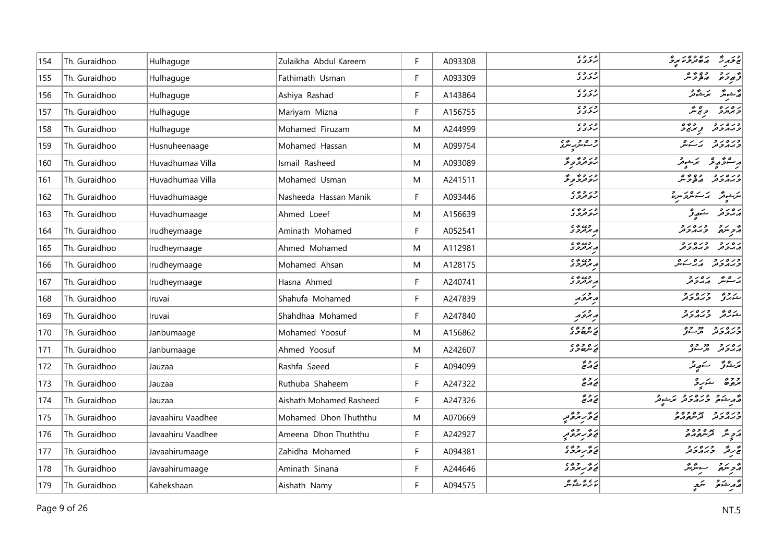| 154 | Th. Guraidhoo | Hulhaguge         | Zulaikha Abdul Kareem   | F  | A093308 | و ر و ،<br>ری ی                     | ج څه د شه د څوند پر د               |
|-----|---------------|-------------------|-------------------------|----|---------|-------------------------------------|-------------------------------------|
| 155 | Th. Guraidhoo | Hulhaguge         | Fathimath Usman         | F  | A093309 | و ر و ،<br>رنگ ی                    | و ده ده ده و                        |
| 156 | Th. Guraidhoo | Hulhaguge         | Ashiya Rashad           | F  | A143864 | و ر و ،<br>رو ړ                     | ر<br>رگ شورگر - مرکبورگر            |
| 157 | Th. Guraidhoo | Hulhaguge         | Mariyam Mizna           | F  | A156755 | و ر و ،<br>رى ى                     | رەرە جەش                            |
| 158 | Th. Guraidhoo | Hulhaguge         | Mohamed Firuzam         | M  | A244999 | و ر و ،<br>ری ی                     | כנסנכ ציבים<br>במחכת ציביב          |
| 159 | Th. Guraidhoo | Husnuheenaage     | Mohamed Hassan          | M  | A099754 | ر مەش <sub>رىپ</sub> ىدى<br>مەسرىپە | ورەرو پەسكىر                        |
| 160 | Th. Guraidhoo | Huvadhumaa Villa  | Ismail Rasheed          | M  | A093089 | رحمۃ عرفر                           | ر جۇرچى كەنچە                       |
| 161 | Th. Guraidhoo | Huvadhumaa Villa  | Mohamed Usman           | M  | A241511 | در و و <sub>م</sub> وته             | ورەرو وەپپى<br>حەمدىر مەنبى         |
| 162 | Th. Guraidhoo | Huvadhumaage      | Nasheeda Hassan Manik   | F  | A093446 | و ر و د »<br>ره ترو د               | للكرشونكر الكاسكوسير                |
| 163 | Th. Guraidhoo | Huvadhumaage      | Ahmed Loeef             | M  | A156639 | و ر و د »<br>ر ه ترو د              | رەر دىرو                            |
| 164 | Th. Guraidhoo | Irudheymaage      | Aminath Mohamed         | F. | A052541 | د وړ، د ،<br>د برترو د              | و ده وره در                         |
| 165 | Th. Guraidhoo | Irudheymaage      | Ahmed Mohamed           | M  | A112981 | <br>  مرمزدی                        | נפגב בנסגב<br>גגבע בגהבע            |
| 166 | Th. Guraidhoo | Irudheymaage      | Mohamed Ahsan           | M  | A128175 | <br>  مرمرفری                       | ورەرو روپە                          |
| 167 | Th. Guraidhoo | Irudheymaage      | Hasna Ahmed             | F  | A240741 | د وړ، د ،<br>د مرکزتر د             | يُرَ شَهْرٌ مَ يَرْوَ مَرْ          |
| 168 | Th. Guraidhoo | Iruvai            | Shahufa Mohamed         | F  | A247839 | وبخرقه                              | شكروم وره رو                        |
| 169 | Th. Guraidhoo | Iruvai            | Shahdhaa Mohamed        | F  | A247840 | ارجمة                               | ر وره دره در<br>شرکتر وبردونر       |
| 170 | Th. Guraidhoo | Janbumaage        | Mohamed Yoosuf          | M  | A156862 | ر ه د و و ،<br>د سره تر د           | כנים גם כי פי<br>כגונכה וק          |
| 171 | Th. Guraidhoo | Janbumaage        | Ahmed Yoosuf            | M  | A242607 | ر ه د و و ،<br>تع سرچ تر ی          | גם ג' מ' כם<br>הגבת הליינ           |
| 172 | Th. Guraidhoo | Jauzaa            | Rashfa Saeed            | F  | A094099 | پر و پر<br>  ق                      | پَرَڪُوَ کَمَ سَمَدِيْرُ            |
| 173 | Th. Guraidhoo | Jauzaa            | Ruthuba Shaheem         | F  | A247322 | ر و د<br>ق                          | و وه<br>برجوه شرگرو                 |
| 174 | Th. Guraidhoo | Jauzaa            | Aishath Mohamed Rasheed | F  | A247326 | يح پر مج                            | د.<br>مگر شوه وبرمان برشون          |
| 175 | Th. Guraidhoo | Javaahiru Vaadhee | Mohamed Dhon Thuththu   | M  | A070669 | ئەڭرىر ئەر                          | ورەرو برەدەد<br><i>جەم</i> ەرىر ئرس |
| 176 | Th. Guraidhoo | Javaahiru Vaadhee | Ameena Dhon Thuththu    | F  | A242927 | ئەقرىر ترقەمر                       | أمرح مده وه وه                      |
| 177 | Th. Guraidhoo | Javaahirumaage    | Zahidha Mohamed         | F  | A094381 | پر څر چرچ ي                         | تحرير وبرورد                        |
| 178 | Th. Guraidhoo | Javaahirumaage    | Aminath Sinana          | F. | A244646 | ریم رچ دی<br>  بی قر برقری          | سەتتەتىر<br>ك<br>أرمز تر            |
| 179 | Th. Guraidhoo | Kahekshaan        | Aishath Namy            | F  | A094575 | ر ، ه ه شهر<br>بدر را څه میر        | أقهر يشده فللمتمتع                  |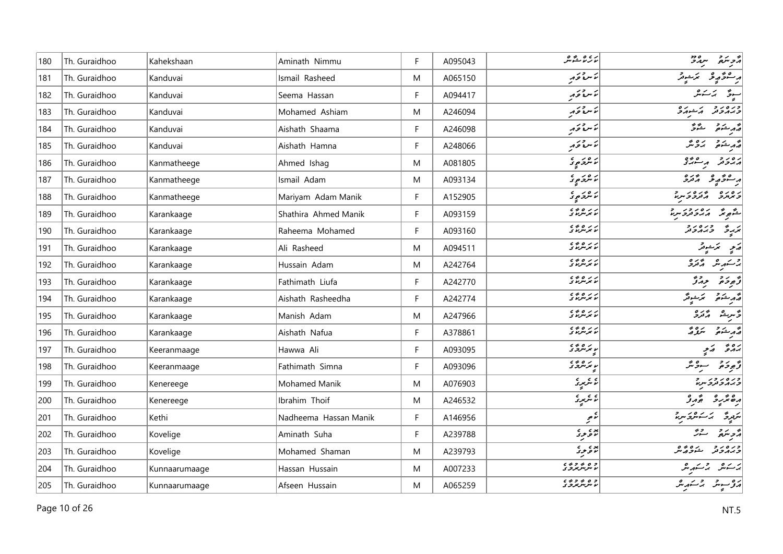| 180 | Th. Guraidhoo | Kahekshaan    | Aminath Nimmu         | F           | A095043 | ر ، ه <u>. په</u> ه              | سرەپىيە<br>أزويتمو                       |
|-----|---------------|---------------|-----------------------|-------------|---------|----------------------------------|------------------------------------------|
| 181 | Th. Guraidhoo | Kanduvai      | Ismail Rasheed        | M           | A065150 | ئەسە ئەھەر                       | ر جۇرپۇ كېيىنى                           |
| 182 | Th. Guraidhoo | Kanduvai      | Seema Hassan          | F           | A094417 | لأسدقهم                          | اسوق يمكنكر                              |
| 183 | Th. Guraidhoo | Kanduvai      | Mohamed Ashiam        | M           | A246094 | ئەسە ئەر                         | כנסני הביהל                              |
| 184 | Th. Guraidhoo | Kanduvai      | Aishath Shaama        | F           | A246098 | لأسدقهم                          | مەر ئىكى ئىگە                            |
| 185 | Th. Guraidhoo | Kanduvai      | Aishath Hamna         | F           | A248066 | ائىسى ئەر                        | م الله عند المسلم المسلم المسلم الم      |
| 186 | Th. Guraidhoo | Kanmatheege   | Ahmed Ishaq           | M           | A081805 | ر ه ر<br>پاسر <sub>د مو</sub> ر  | د ه د و د ه و و و و<br>  د بر د د سوبر و |
| 187 | Th. Guraidhoo | Kanmatheege   | Ismail Adam           | M           | A093134 | ر ه ر<br>پړمبرخ م <sub>و</sub> د | وسترقي قرقره                             |
| 188 | Th. Guraidhoo | Kanmatheege   | Mariyam Adam Manik    | F           | A152905 | بزېږې د                          | ג פגם בגם ביתו                           |
| 189 | Th. Guraidhoo | Karankaage    | Shathira Ahmed Manik  | F           | A093159 | ر رەپە ،<br>مايىرىنزى <i>ر</i>   | شگه مد کرد در در در د                    |
| 190 | Th. Guraidhoo | Karankaage    | Raheema Mohamed       | F           | A093160 | ر ر ه و د ،<br>ما بر سرد د       | و رە ر د<br>تر پر تر تر<br>ىر<br>ئىر ئەچ |
| 191 | Th. Guraidhoo | Karankaage    | Ali Rasheed           | M           | A094511 | ر ر ه و د ،<br>ما مرس د د        | ەكىيە ئىم ئىشىرىدىگر<br>ئىقتىسىسى        |
| 192 | Th. Guraidhoo | Karankaage    | Hussain Adam          | M           | A242764 | ر ر ه و »<br>ما مرس د د          | جر کشمیر هر پر محمد حر                   |
| 193 | Th. Guraidhoo | Karankaage    | Fathimath Liufa       | $\mathsf F$ | A242770 | ر ر ه و د ،<br>ما مرس د د        | وٌوِدَءٌ مِهْوٌ                          |
| 194 | Th. Guraidhoo | Karankaage    | Aishath Rasheedha     | F           | A242774 | ر ر ه و ،<br>ما موسور            | و<br>مرشوم ترشونر                        |
| 195 | Th. Guraidhoo | Karankaage    | Manish Adam           | M           | A247966 | ر ر ه و د ،<br>ما مرس د د        | ا ئۇسرىيە<br>م<br>پر ہ<br>مرکزو          |
| 196 | Th. Guraidhoo | Karankaage    | Aishath Nafua         | F           | A378861 | ر ر ه و »<br>ما مرس د د          | و گرېږي.<br>مرگ<br>سرەپ                  |
| 197 | Th. Guraidhoo | Keeranmaage   | Hawwa Ali             | F           | A093095 | ر بر ه پر د<br>پرسرچري           | رەپە كەپ                                 |
| 198 | Th. Guraidhoo | Keeranmaage   | Fathimath Simna       | F           | A093096 | ر ه و و ،<br>په مرسرچ د          | وٌ جو حر ح<br>سوۋىتر                     |
| 199 | Th. Guraidhoo | Kenereege     | <b>Mohamed Manik</b>  | M           | A076903 | ى ئەرىپە<br>مامىرىپورى           | و ر ٥ ر و ر<br>تر <i>بر ۸ تر تر</i> سربا |
| 200 | Th. Guraidhoo | Kenereege     | Ibrahim Thoif         | M           | A246532 | ى ئەيدى<br>مامىرىيو ي            | مەھەر ئەھمى                              |
| 201 | Th. Guraidhoo | Kethi         | Nadheema Hassan Manik | F           | A146956 | ء<br>موصح                        |                                          |
| 202 | Th. Guraidhoo | Kovelige      | Aminath Suha          | F           | A239788 | بر ،<br>  ما حر بر               | ړې سره پر                                |
| 203 | Th. Guraidhoo | Kovelige      | Mohamed Shaman        | M           | A239793 | پرې<br>  ما حرمو بو              | ورەرو رەپەە<br><i>جەم</i> ەدىر شەۋەش     |
| 204 | Th. Guraidhoo | Kunnaarumaage | Hassan Hussain        | M           | A007233 | و ه پر و د ،<br>ما سرس پر و ی    | برستق برستهرهما                          |
| 205 | Th. Guraidhoo | Kunnaarumaage | Afseen Hussain        | M           | A065259 | و ه پر و د ،<br>ما سرس پر و ی    | أروسيتر برسكه بثر                        |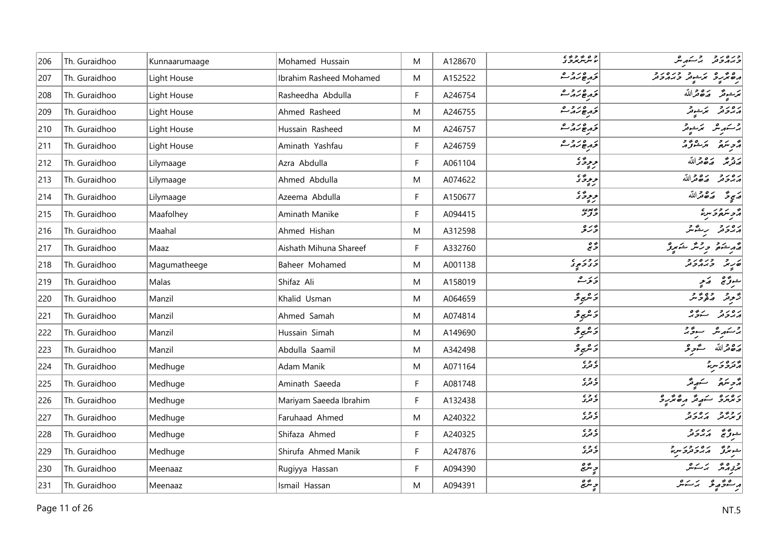| 206 | Th. Guraidhoo | Kunnaarumaage | Mohamed Hussain         | ${\sf M}$ | A128670 | د ه پر د پر د<br>د سرسربرو د | ورەرو ئەسىرىك                                                                                                                                                                                                                   |
|-----|---------------|---------------|-------------------------|-----------|---------|------------------------------|---------------------------------------------------------------------------------------------------------------------------------------------------------------------------------------------------------------------------------|
| 207 | Th. Guraidhoo | Light House   | Ibrahim Rasheed Mohamed | M         | A152522 | ئەرەپەر ئە                   | رە ئرىرى ئىرىدى 30,000 كىلىدى.<br>ئىرىدى ئىرىدى ئىلان<br>ئىرىدى كەن ئاللە                                                                                                                                                       |
| 208 | Th. Guraidhoo | Light House   | Rasheedha Abdulla       | F         | A246754 | خەرھ ئەترىشە                 |                                                                                                                                                                                                                                 |
| 209 | Th. Guraidhoo | Light House   | Ahmed Rasheed           | M         | A246755 | خەرچەرچە شە                  | ره ر د برشوتر<br>درگرفتر برشوتر                                                                                                                                                                                                 |
| 210 | Th. Guraidhoo | Light House   | Hussain Rasheed         | ${\sf M}$ | A246757 | الخدع تروح                   | رحم المراكز المركب وكر                                                                                                                                                                                                          |
| 211 | Th. Guraidhoo | Light House   | Aminath Yashfau         | F         | A246759 | خەرغ ئەتمەت                  | أترجع المرشوق المراجع                                                                                                                                                                                                           |
| 212 | Th. Guraidhoo | Lilymaage     | Azra Abdulla            | F         | A061104 | ووژگی<br>ر <sub>ئ</sub>      | أصغر متحدث الله                                                                                                                                                                                                                 |
| 213 | Th. Guraidhoo | Lilymaage     | Ahmed Abdulla           | ${\sf M}$ | A074622 | ووڈء                         | برەرد برە دالله                                                                                                                                                                                                                 |
| 214 | Th. Guraidhoo | Lilymaage     | Azeema Abdulla          | F         | A150677 | ووڈءُ                        | #يىچە <b>#ھەتر</b> اللە                                                                                                                                                                                                         |
| 215 | Th. Guraidhoo | Maafolhey     | Aminath Manike          | F         | A094415 | په پور،<br>ترکو لم           | و محر معروف مربع                                                                                                                                                                                                                |
| 216 | Th. Guraidhoo | Maahal        | Ahmed Hishan            | M         | A312598 | ۇرۇ                          | ەرە رىقىر                                                                                                                                                                                                                       |
| 217 | Th. Guraidhoo | Maaz          | Aishath Mihuna Shareef  | F         | A332760 | رچ                           |                                                                                                                                                                                                                                 |
| 218 | Th. Guraidhoo | Magumatheege  | Baheer Mohamed          | M         | A001138 | د د د ه پر                   | $31013$ $70$                                                                                                                                                                                                                    |
| 219 | Th. Guraidhoo | Malas         | Shifaz Ali              | ${\sf M}$ | A158019 | ىز ئە                        | شوژً بچ مرکز پر                                                                                                                                                                                                                 |
| 220 | Th. Guraidhoo | Manzil        | Khalid Usman            | ${\sf M}$ | A064659 | ځە شېر ۋ                     | أثنج قرائده وهوائيس                                                                                                                                                                                                             |
| 221 | Th. Guraidhoo | Manzil        | Ahmed Samah             | ${\sf M}$ | A074814 | ۇمىئېۋ                       | رەرو سەرە                                                                                                                                                                                                                       |
| 222 | Th. Guraidhoo | Manzil        | Hussain Simah           | ${\sf M}$ | A149690 | ئەشرىر ۋ                     | چرىسى سى <i>رىچى</i>                                                                                                                                                                                                            |
| 223 | Th. Guraidhoo | Manzil        | Abdulla Saamil          | M         | A342498 | ځ مربې په                    | أشكام تستحر محر ومحر                                                                                                                                                                                                            |
| 224 | Th. Guraidhoo | Medhuge       | Adam Manik              | M         | A071164 | ړ و ړ<br>تر تر د             | و ره ر<br>محمد حرم                                                                                                                                                                                                              |
| 225 | Th. Guraidhoo | Medhuge       | Aminath Saeeda          | F         | A081748 | ړ و ،<br>و تورک              | أأدبتهم التكرير                                                                                                                                                                                                                 |
| 226 | Th. Guraidhoo | Medhuge       | Mariyam Saeeda Ibrahim  | F         | A132438 | ے و ۽<br>و تري               | נינים בולי הסתים                                                                                                                                                                                                                |
| 227 | Th. Guraidhoo | Medhuge       | Faruhaad Ahmed          | M         | A240322 |                              | ر و ده و به در و<br>تو بررگتر به مرکز کر                                                                                                                                                                                        |
| 228 | Th. Guraidhoo | Medhuge       | Shifaza Ahmed           | F         | A240325 | ړ و ،<br>تر تر د             | شورٌ پخ امریکرونر                                                                                                                                                                                                               |
| 229 | Th. Guraidhoo | Medhuge       | Shirufa Ahmed Manik     | F         | A247876 | ے و ے<br>و تر <sub>ک</sub>   | ) مشروع مدد در در در در در در داران در در داران در داران در داران در داران در داران در داران داران در داران د<br>در در داران در داران در داران در داران در داران در داران در داران داران در داران داران در داران داران در داران |
| 230 | Th. Guraidhoo | Meenaaz       | Rugiyya Hassan          | F         | A094390 | جریٹرچ                       | برتوم میں برے میں                                                                                                                                                                                                               |
| 231 | Th. Guraidhoo | Meenaaz       | Ismail Hassan           | ${\sf M}$ | A094391 | جريثي                        | أرب المتحرم والمحتفظ                                                                                                                                                                                                            |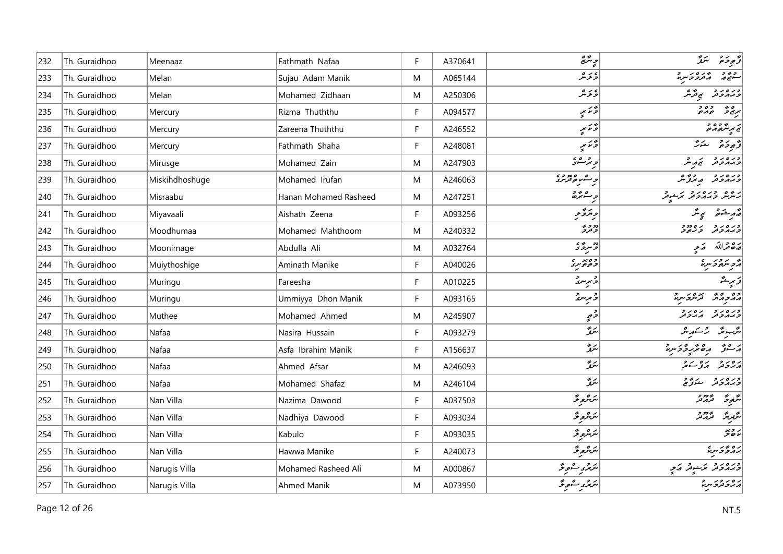| 232 | Th. Guraidhoo | Meenaaz        | Fathmath Nafaa        | F         | A370641 | جريثي                           | و ده شدّ                                           |
|-----|---------------|----------------|-----------------------|-----------|---------|---------------------------------|----------------------------------------------------|
| 233 | Th. Guraidhoo | Melan          | Sujau Adam Manik      | M         | A065144 | دىرە                            | - כמה מנהכתיות                                     |
| 234 | Th. Guraidhoo | Melan          | Mohamed Zidhaan       | M         | A250306 | ى ئەھ                           | ورەرو بېرگە                                        |
| 235 | Th. Guraidhoo | Mercury        | Rizma Thuththu        | F         | A094577 | اقحزميه                         | و ه و و<br>حوار حو<br> <br>  سرچ څ                 |
| 236 | Th. Guraidhoo | Mercury        | Zareena Thuththu      | F         | A246552 | اقحزميه                         |                                                    |
| 237 | Th. Guraidhoo | Mercury        | Fathmath Shaha        | F         | A248081 | ۇ ئەنىپە<br>ج                   | قرم و المستركز                                     |
| 238 | Th. Guraidhoo | Mirusge        | Mohamed Zain          | ${\sf M}$ | A247903 | ج بره ۲۵                        | בנסגב בתית                                         |
| 239 | Th. Guraidhoo | Miskihdhoshuge | Mohamed Irufan        | ${\sf M}$ | A246063 | د مشر ه بر د ،<br>بر سر ه مرمرد | ورەر د پروگر                                       |
| 240 | Th. Guraidhoo | Misraabu       | Hanan Mohamed Rasheed | ${\sf M}$ | A247251 | و شوپږ                          | ر و ۵ د ۶ د ۶ د د د د د                            |
| 241 | Th. Guraidhoo | Miyavaali      | Aishath Zeena         | F         | A093256 | جە ئەڭخ                         | قەرشىق يېتىر                                       |
| 242 | Th. Guraidhoo | Moodhumaa      | Mohamed Mahthoom      | M         | A240332 | دو و پر<br>تر تر تر             |                                                    |
| 243 | Th. Guraidhoo | Moonimage      | Abdulla Ali           | ${\sf M}$ | A032764 | دو<br>ترسرپری                   | برة والله كه و                                     |
| 244 | Th. Guraidhoo | Muiythoshige   | Aminath Manike        | F         | A040026 | و ه پو د پر<br>حرمومونړۍ        | أأوسكودس                                           |
| 245 | Th. Guraidhoo | Muringu        | Fareesha              | F         | A010225 | ۇ <sub>موس</sub> ر              | وَمَرِيثٌ                                          |
| 246 | Th. Guraidhoo | Muringu        | Ummiyya Dhon Manik    | F         | A093165 | ومرسر                           | כם כש מפגיע                                        |
| 247 | Th. Guraidhoo | Muthee         | Mohamed Ahmed         | M         | A245907 | وحمي                            | כנסגב גםגב<br><i>בג</i> בבי הגבינ                  |
| 248 | Th. Guraidhoo | Nafaa          | Nasira Hussain        | F         | A093279 | سَرَدٌ                          | لترسونتى المرشر شريبر                              |
| 249 | Th. Guraidhoo | Nafaa          | Asfa Ibrahim Manik    | F         | A156637 | سَرَدٌ                          | גם הסתלכת                                          |
| 250 | Th. Guraidhoo | Nafaa          | Ahmed Afsar           | M         | A246093 | سَرَوٌ                          | גפיב גף בב                                         |
| 251 | Th. Guraidhoo | Nafaa          | Mohamed Shafaz        | M         | A246104 | سَرَدٌ                          | وره رو درود<br><i>د ب</i> رد در شوق                |
| 252 | Th. Guraidhoo | Nan Villa      | Nazima Dawood         | F         | A037503 | يئرمرمو قر                      | پر دو و<br>تر <i>هر</i> تر<br>سَّنْجُوحَ           |
| 253 | Th. Guraidhoo | Nan Villa      | Nadhiya Dawood        | F         | A093034 | يرشرو بخر                       | مترمر پر<br>سر<br>پر دو و<br>تو <sub>م</sub> هر تو |
| 254 | Th. Guraidhoo | Nan Villa      | Kabulo                | F         | A093035 | ىئەبىرىدىگە<br>مەسرىرىدى        | $\frac{\varkappa}{\varkappa}$                      |
| 255 | Th. Guraidhoo | Nan Villa      | Hawwa Manike          | F         | A240073 | يئرمره پخه                      | رە ئەر بىرى <i>گ</i> ە                             |
| 256 | Th. Guraidhoo | Narugis Villa  | Mohamed Rasheed Ali   | M         | A000867 | ىئر <i>پرېمو سىمو</i> ئۇ        | ورور و ترجونز ارتو<br>وبرارونز الرجونز ارتو        |
| 257 | Th. Guraidhoo | Narugis Villa  | Ahmed Manik           | ${\sf M}$ | A073950 | انتر پژېر ڪ <sub>ھو</sub> مخر   | ر ہ ر د ر د<br>ג ژ ژ ترو سربا                      |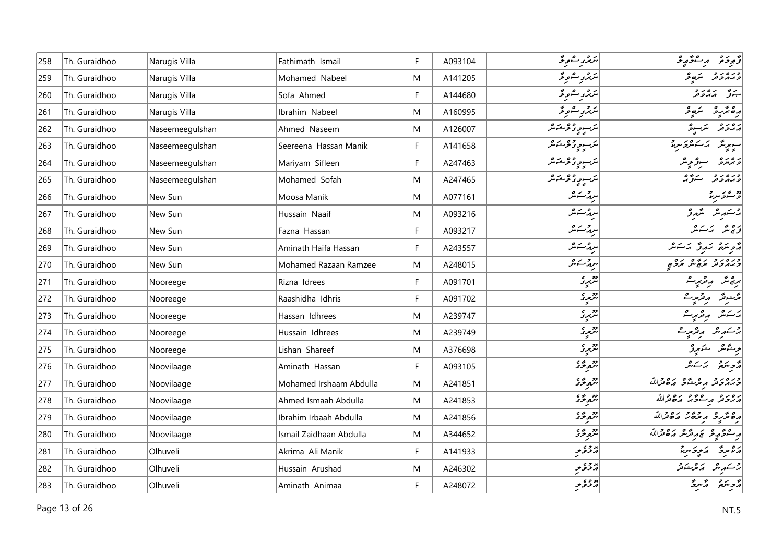| 258 | Th. Guraidhoo | Narugis Villa   | Fathimath Ismail        | F         | A093104 | يئر پر بر معظم قر                    | قرم في من المستقصر المحصور المحرم المحرم المنظمة المحرم المنظمة المحرم المنظمة المحرم المنظمة المحرم المنظمة ا |
|-----|---------------|-----------------|-------------------------|-----------|---------|--------------------------------------|----------------------------------------------------------------------------------------------------------------|
| 259 | Th. Guraidhoo | Narugis Villa   | Mohamed Nabeel          | ${\sf M}$ | A141205 | يئر پر را شو بحر                     | ورورو شهره                                                                                                     |
| 260 | Th. Guraidhoo | Narugis Villa   | Sofa Ahmed              | F         | A144680 | يَدَ پِرْ بِرِ سُوءِ قَرْ            | ستوق المرور و                                                                                                  |
| 261 | Th. Guraidhoo | Narugis Villa   | Ibrahim Nabeel          | M         | A160995 | ىئر <i>پرېم</i> رىشمو ئ <sup>ۇ</sup> | ەر ھەترىرى<br>ر<br>سكصفر                                                                                       |
| 262 | Th. Guraidhoo | Naseemeegulshan | Ahmed Naseem            | M         | A126007 | <br> سرسوپوڅوځينگر                   | <i>גەגב</i> ת <i>ُ</i> سِر <sup>و</sup>                                                                        |
| 263 | Th. Guraidhoo | Naseemeegulshan | Seereena Hassan Manik   | F         | A141658 |                                      | سورگر كەككەندە                                                                                                 |
| 264 | Th. Guraidhoo | Naseemeegulshan | Mariyam Sifleen         | F         | A247463 | ىكرىسوچە ئۇيىشكە<br>ئەسىر            | رەرە سوۋېپر                                                                                                    |
| 265 | Th. Guraidhoo | Naseemeegulshan | Mohamed Sofah           | M         | A247465 | ىكرىسوچە ئۇستەنگر<br>ئەس             | وره رو در در ده<br>تربر در در سوژبر                                                                            |
| 266 | Th. Guraidhoo | New Sun         | Moosa Manik             | ${\sf M}$ | A077161 | سرچر سکرمگر                          | در مشركة مريد<br>حراستهو كبير                                                                                  |
| 267 | Th. Guraidhoo | New Sun         | Hussain Naaif           | M         | A093216 | سرچر سکرمگر                          | برسكىرىش ئىگەنى                                                                                                |
| 268 | Th. Guraidhoo | New Sun         | Fazna Hassan            | F         | A093217 | سدچر سُنگر                           | زەش برىك                                                                                                       |
| 269 | Th. Guraidhoo | New Sun         | Aminath Haifa Hassan    | F         | A243557 | ابىرچە يەشر                          | ە ئەستە ئەرۇ ئەسەر                                                                                             |
| 270 | Th. Guraidhoo | New Sun         | Mohamed Razaan Ramzee   | ${\sf M}$ | A248015 | اسرچمند                              | وره رو روم ده                                                                                                  |
| 271 | Th. Guraidhoo | Nooreege        | Rizna Idrees            | F         | A091701 | دد<br>مترسمي <sup>ر</sup>            | برچ مثر   مرتزبر مص                                                                                            |
| 272 | Th. Guraidhoo | Nooreege        | Raashidha Idhris        | F         | A091702 | دو<br>مترسمي <sup>ى</sup>            | ېژىنونژ م <sub>و</sub> نژىپ <sup>ى</sup>                                                                       |
| 273 | Th. Guraidhoo | Nooreege        | Hassan Idhrees          | M         | A239747 | دد<br>مترسری                         | ىرىكىش مەقرىپەت                                                                                                |
| 274 | Th. Guraidhoo | Nooreege        | Hussain Idhrees         | M         | A239749 | دد<br>مترسمي <sup>ى</sup>            | ج سەر بىر بەر بىر بە                                                                                           |
| 275 | Th. Guraidhoo | Nooreege        | Lishan Shareef          | M         | A376698 | دد<br>مترسمي <sup>5</sup>            | ويشمش تقاروهم                                                                                                  |
| 276 | Th. Guraidhoo | Noovilaage      | Aminath Hassan          | F         | A093105 | دد<br>متر <sub>جو</sub> بخری         | أرمح سنكر المركبة المستحيد                                                                                     |
| 277 | Th. Guraidhoo | Noovilaage      | Mohamed Irshaam Abdulla | M         | A241851 | دد پر ،<br>سر <sub>گر</sub> بر ،     | وره رو و عرفو مەمراللە                                                                                         |
| 278 | Th. Guraidhoo | Noovilaage      | Ahmed Ismaah Abdulla    | ${\sf M}$ | A241853 | دد<br>سره څرن                        | ره رو مسور ره والله                                                                                            |
| 279 | Th. Guraidhoo | Noovilaage      | Ibrahim Irbaah Abdulla  | ${\sf M}$ | A241856 | دو پرې<br>سره څرنه                   | رە ئرىرى مەنھەر مەھىراللە                                                                                      |
| 280 | Th. Guraidhoo | Noovilaage      | Ismail Zaidhaan Abdulla | ${\sf M}$ | A344652 | مربوعه<br> سرعری                     | مر محرّ موسِّر مقدَّمة من من الله                                                                              |
| 281 | Th. Guraidhoo | Olhuveli        | Akrima Ali Manik        | F         | A141933 | لروء                                 | أرامرة أأراج وأدار                                                                                             |
| 282 | Th. Guraidhoo | Olhuveli        | Hussain Arushad         | M         | A246302 | پر د ،<br> پر نر عر م                | جر سکهر مگر از محر مشکور                                                                                       |
| 283 | Th. Guraidhoo | Olhuveli        | Aminath Animaa          | F         | A248072 | پروی<br> پرنزغرمبر                   | أأروسكم أأسرفه                                                                                                 |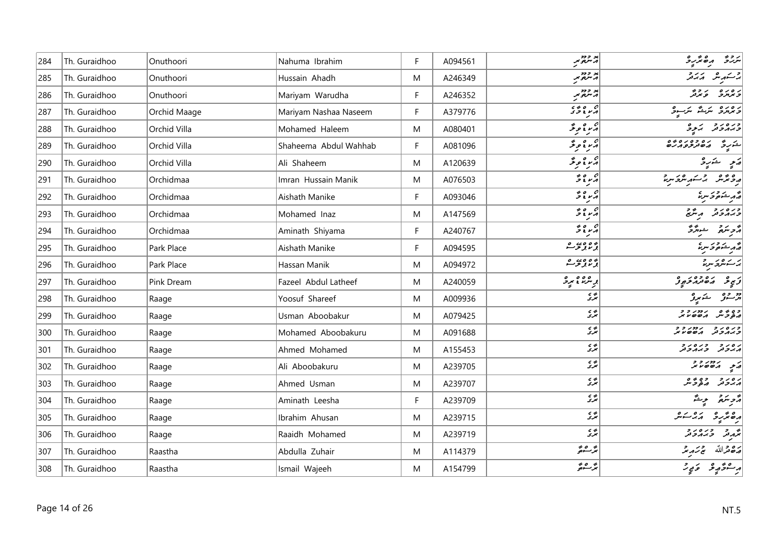| 284 | Th. Guraidhoo | Onuthoori         | Nahuma Ibrahim        | F         | A094561 | أبر دود                             | يرزۇ مەھمەرد                                                                                                                                                                                                                     |
|-----|---------------|-------------------|-----------------------|-----------|---------|-------------------------------------|----------------------------------------------------------------------------------------------------------------------------------------------------------------------------------------------------------------------------------|
| 285 | Th. Guraidhoo | Onuthoori         | Hussain Ahadh         | M         | A246349 | پر و دو.<br>در سرچ مر               | بر سکه شهر از مرکز می                                                                                                                                                                                                            |
| 286 | Th. Guraidhoo | Onuthoori         | Mariyam Warudha       | F         | A246352 | بد و دو.<br>در سره مړ               | ره ره د وي                                                                                                                                                                                                                       |
| 287 | Th. Guraidhoo | Orchid Maage      | Mariyam Nashaa Naseem | F         | A379776 |                                     | أتره مره مرسيح مرسوفة                                                                                                                                                                                                            |
| 288 | Th. Guraidhoo | Orchid Villa      | Mohamed Haleem        | M         | A080401 | ەر بە ئوقر                          | ورەرو بەرو                                                                                                                                                                                                                       |
| 289 | Th. Guraidhoo | Orchid Villa      | Shaheema Abdul Wahhab | F         | A081096 | ەر بە ئوقر                          | شرر ووره ده<br>شررد وه تروو دره                                                                                                                                                                                                  |
| 290 | Th. Guraidhoo | Orchid Villa      | Ali Shaheem           | ${\sf M}$ | A120639 | ەر بە ئورگە<br>م                    | ړې خ <i>و</i> رو                                                                                                                                                                                                                 |
| 291 | Th. Guraidhoo | Orchidmaa         | Imran Hussain Manik   | ${\sf M}$ | A076503 | لأمروخ                              | ו פיצייר באו יותר ויותר                                                                                                                                                                                                          |
| 292 | Th. Guraidhoo | Orchidmaa         | Aishath Manike        | F         | A093046 | 5.200                               | ۇ مەشقۇ ئەسرىي<br>مەسسىۋە ئەسرىيا                                                                                                                                                                                                |
| 293 | Th. Guraidhoo | Orchidmaa         | Mohamed Inaz          | ${\sf M}$ | A147569 | 5.200                               | בנסגב גיב                                                                                                                                                                                                                        |
| 294 | Th. Guraidhoo | Orchidmaa         | Aminath Shiyama       | F         | A240767 | 5.200                               | أأروبتهم بشوائر                                                                                                                                                                                                                  |
| 295 | Th. Guraidhoo | Park Place        | Aishath Manike        | F         | A094595 | ږه ه پړې ه<br>بر پېړنو ک            | ا په مه شوې ته د پارتونکو لريندا په کال کې د لريندا په کال کې د کال کې د کال کې د کال کې د کالو کړه کالو کړه ک<br>مرکز کالو کالو کړه کولو کړه کړه کولو کړه کړه کولو کړه کو بالو کړه کو کالو کړه کوچکو کو کالو کړه کوچکو کالو کړه |
| 296 | Th. Guraidhoo | Park Place        | Hassan Manik          | M         | A094972 | پ <sup>ر ہ</sup> دی ہے<br>بر بر بڑے | ىر سەھەر س <i>ەر</i>                                                                                                                                                                                                             |
| 297 | Th. Guraidhoo | <b>Pink Dream</b> | Fazeel Abdul Latheef  | M         | A240059 | ار مرړ ؟ بر د<br>سر                 | <i>בُ</i> כְּפְ <sup>ּבַ</sup> בְּפְנְבְבְּ                                                                                                                                                                                      |
| 298 | Th. Guraidhoo | Raage             | Yoosuf Shareef        | M         | A009936 | پر<br>بوی                           | پور ده شورو<br>  پوستون شونتونو                                                                                                                                                                                                  |
| 299 | Th. Guraidhoo | Raage             | Usman Aboobakur       | M         | A079425 | یں<br>بوری                          | 22/32/ 0202                                                                                                                                                                                                                      |
| 300 | Th. Guraidhoo | Raage             | Mohamed Aboobakuru    | M         | A091688 | یں<br>بوری                          | כנסנכ נמנכב<br>כגובת ומסטית                                                                                                                                                                                                      |
| 301 | Th. Guraidhoo | Raage             | Ahmed Mohamed         | M         | A155453 | پر<br>برگ                           | נפנד בנסנד<br>גנבת בגבבת                                                                                                                                                                                                         |
| 302 | Th. Guraidhoo | Raage             | Ali Aboobakuru        | M         | A239705 | یچ م<br>بخری                        |                                                                                                                                                                                                                                  |
| 303 | Th. Guraidhoo | Raage             | Ahmed Usman           | M         | A239707 | یچ م<br>بخری                        | גפגב בפיים.<br>הגבע הבבית                                                                                                                                                                                                        |
| 304 | Th. Guraidhoo | Raage             | Aminath Leesha        | F         | A239709 | یچ م<br>بخری                        | أزويتهم ويش                                                                                                                                                                                                                      |
| 305 | Th. Guraidhoo | Raage             | Ibrahim Ahusan        | M         | A239715 | چ <sup>ج</sup><br>بتری              |                                                                                                                                                                                                                                  |
| 306 | Th. Guraidhoo | Raage             | Raaidh Mohamed        | M         | A239719 | چ م<br>بخری                         | أتمرير وره دو                                                                                                                                                                                                                    |
| 307 | Th. Guraidhoo | Raastha           | Abdulla Zuhair        | M         | A114379 | پر ٥ پر<br>مرسوم                    | صكالله<br>چ ئەمە يىتى<br>ئ                                                                                                                                                                                                       |
| 308 | Th. Guraidhoo | Raastha           | Ismail Wajeeh         | M         | A154799 | پر مەي<br>مرسىم                     | بر شۇ ئۇ ئىسى ئىلىمىتى ئى                                                                                                                                                                                                        |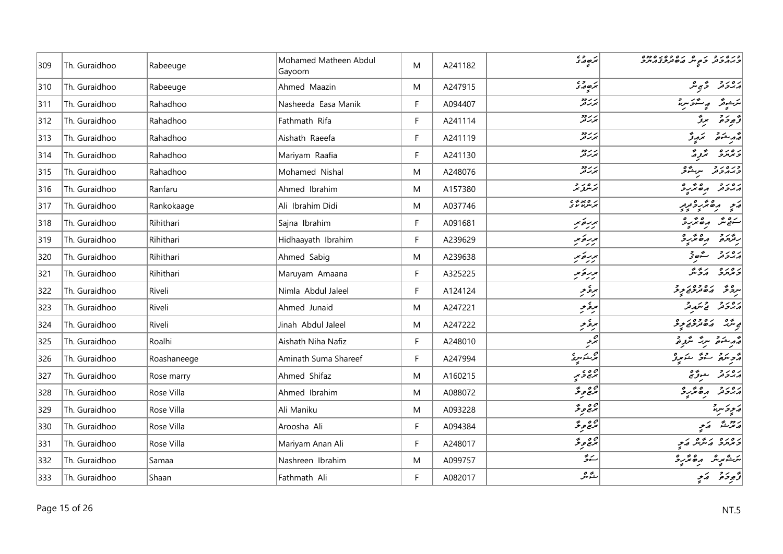| 309 | Th. Guraidhoo | Rabeeuge    | Mohamed Matheen Abdul<br>Gayoom | M  | A241182 | ترەم                            | כגם גב בנים גם כסגם בבם<br>במהכת כם ית הסתיבבה תכ |
|-----|---------------|-------------|---------------------------------|----|---------|---------------------------------|---------------------------------------------------|
| 310 | Th. Guraidhoo | Rabeeuge    | Ahmed Maazin                    | M  | A247915 | ر<br>مرحود د                    | ړه د و ځم ش                                       |
| 311 | Th. Guraidhoo | Rahadhoo    | Nasheeda Easa Manik             | F  | A094407 | ر ر دو<br>بور تو                | للرسوش والشركان                                   |
| 312 | Th. Guraidhoo | Rahadhoo    | Fathmath Rifa                   | F  | A241114 | بر ر وو<br>بور تعر              | و څو څخه د<br>ىرتم                                |
| 313 | Th. Guraidhoo | Rahadhoo    | Aishath Raeefa                  | F  | A241119 | ر ر دو<br>بور تو                | پ <sup>و</sup> مرشومی<br>مرم<br>ىمەرق             |
| 314 | Th. Guraidhoo | Rahadhoo    | Mariyam Raafia                  | F  | A241130 | ر ر دو<br>بور تو                | ر ه بر ه<br>بترور                                 |
| 315 | Th. Guraidhoo | Rahadhoo    | Mohamed Nishal                  | M  | A248076 | ر ر دو<br>بور تو                | و ره ر د<br><i>و پر</i> پر تر<br>سرشەتى           |
| 316 | Th. Guraidhoo | Ranfaru     | Ahmed Ibrahim                   | M  | A157380 | ىر مەرىجە                       | גפני גם בניב                                      |
| 317 | Th. Guraidhoo | Rankokaage  | Ali Ibrahim Didi                | M  | A037746 | ر ەيرى ،<br>برس ما <sub>ك</sub> | ړَ په ره پر دوبربر                                |
| 318 | Th. Guraidhoo | Rihithari   | Sajna Ibrahim                   | F. | A091681 | ىررىمىر<br>ئرىر                 | برە ئۆرۈ<br>ئەق ئىر                               |
| 319 | Th. Guraidhoo | Rihithari   | Hidhaayath Ibrahim              | F. | A239629 | مور پر<br>ر                     | ە ھەترىرى<br>برھ ترىرى<br>  روگرمر و              |
| 320 | Th. Guraidhoo | Rihithari   | Ahmed Sabig                     | M  | A239638 | ىررىمىر<br>برىر                 | ر ەر د<br>م.روتر<br>سەھ تى                        |
| 321 | Th. Guraidhoo | Rihithari   | Maruyam Amaana                  | F  | A325225 | ىررىمىر<br>مرىر                 | ر پوځ<br>ر ه ر ه<br><del>د</del> بربرو            |
| 322 | Th. Guraidhoo | Riveli      | Nimla Abdul Jaleel              | F  | A124124 | برۂعر                           | ړه وه ريځ پرتو<br>ابىر <sub>ۇ ئۆ</sub>            |
| 323 | Th. Guraidhoo | Riveli      | Ahmed Junaid                    | M  | A247221 | برة مر                          | أرور و و در و                                     |
| 324 | Th. Guraidhoo | Riveli      | Jinah Abdul Jaleel              | M  | A247222 | برۂ م                           | بے س <i>رگ مقام دھونے پ</i> ولو                   |
| 325 | Th. Guraidhoo | Roalhi      | Aishath Niha Nafiz              | F  | A248010 | ە<br>ئىرىپە                     | أقهر منتفرة المرشر التنكريني                      |
| 326 | Th. Guraidhoo | Roashaneege | Aminath Suma Shareef            | F  | A247994 | لترينه مبرمج                    | أأترج مترقم التفاوير ومستور                       |
| 327 | Th. Guraidhoo | Rose marry  | Ahmed Shifaz                    | M  | A160215 | ە ە ە »<br>ئىرىنى خەمىر         | رەر دۇر.<br>مەدىر شو <i>ۋى</i>                    |
| 328 | Th. Guraidhoo | Rose Villa  | Ahmed Ibrahim                   | M  | A088072 | ە ەھ<br>ئىرىنى ھەمىر            | גפנג תפתוב                                        |
| 329 | Th. Guraidhoo | Rose Villa  | Ali Maniku                      | M  | A093228 | ترجوقر                          | ړ بر په سره<br>په سره                             |
| 330 | Th. Guraidhoo | Rose Villa  | Aroosha Ali                     | F  | A094384 | جرج وقر                         | ردوية كمبي                                        |
| 331 | Th. Guraidhoo | Rose Villa  | Mariyam Anan Ali                | F  | A248017 | ترجوقر                          | גם גם ג'וליס ה'ת                                  |
| 332 | Th. Guraidhoo | Samaa       | Nashreen Ibrahim                | M  | A099757 | سەۋ                             | ىكەشمېرىك مەھەردى                                 |
| 333 | Th. Guraidhoo | Shaan       | Fathmath Ali                    | F  | A082017 | ىشەھر                           | وٌجوحَ حَ يَ                                      |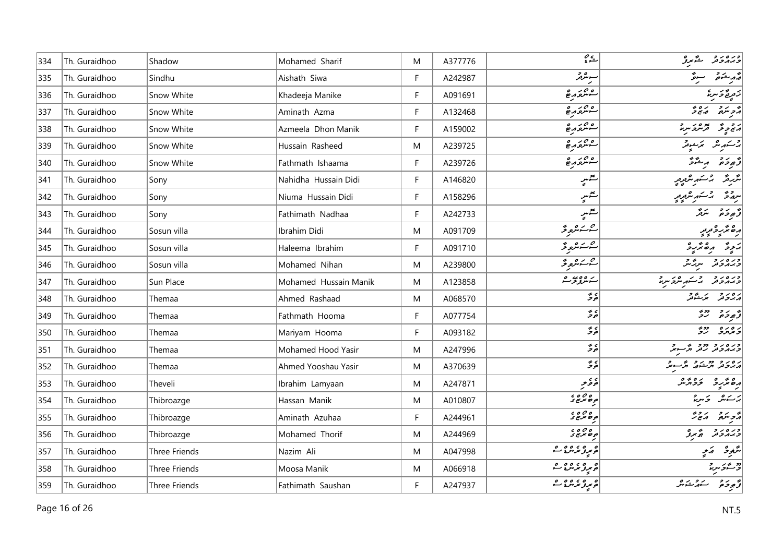| 334 | Th. Guraidhoo | Shadow               | Mohamed Sharif        | M         | A377776 | $\frac{\partial c}{\partial x^2}$ | ورەرو ئەرۇ                                                                                                                                                             |
|-----|---------------|----------------------|-----------------------|-----------|---------|-----------------------------------|------------------------------------------------------------------------------------------------------------------------------------------------------------------------|
| 335 | Th. Guraidhoo | Sindhu               | Aishath Siwa          | F         | A242987 | سومترفر                           | $rac{2}{\sqrt{2}}$                                                                                                                                                     |
| 336 | Th. Guraidhoo | Snow White           | Khadeeja Manike       | F         | A091691 | $rac{1}{2}$                       | زَ مَرِيحٌ تَرْ سِرْءً                                                                                                                                                 |
| 337 | Th. Guraidhoo | Snow White           | Aminath Azma          | F         | A132468 |                                   | أأرمره<br>بر 0 پر<br>در پر پ                                                                                                                                           |
| 338 | Th. Guraidhoo | Snow White           | Azmeela Dhon Manik    | F         | A159002 | ے شعر ہو ہے                       | كالمتحاج ومحافظ المحمد المراريح والمحرج والمحاجر والمحتاج والمحمدة والمحمدة والمحمدة المحمدة والمحمدة والمحمدة                                                         |
| 339 | Th. Guraidhoo | Snow White           | Hussain Rasheed       | M         | A239725 |                                   | جر سکه ملک مرکب دیگر<br>مرکب مرکب مرکب دیگر                                                                                                                            |
| 340 | Th. Guraidhoo | Snow White           | Fathmath Ishaama      | F         | A239726 | $rac{1}{2}$                       | وٌمودَهِ رِحْدَةٌ                                                                                                                                                      |
| 341 | Th. Guraidhoo | Sony                 | Nahidha Hussain Didi  | F         | A146820 | متنمبر                            | شرىر ئەسەر شەرىر<br>سىرىر ئىسەر                                                                                                                                        |
| 342 | Th. Guraidhoo | Sony                 | Niuma Hussain Didi    | F         | A158296 | تخمير                             | سرچون ديگر ماه مرد ديد.<br>سرچاق ديگر ماه مرد ديد.<br>گروه چاق سرچاق                                                                                                   |
| 343 | Th. Guraidhoo | Sony                 | Fathimath Nadhaa      | F         | A242733 | متنمسير                           |                                                                                                                                                                        |
| 344 | Th. Guraidhoo | Sosun villa          | Ibrahim Didi          | M         | A091709 | <u>ش ئەشرو ئە</u>                 | ر ه پژر د در در<br>ر ه پژر د در در                                                                                                                                     |
| 345 | Th. Guraidhoo | Sosun villa          | Haleema Ibrahim       | F         | A091710 | <u>مەسە ئىرو ئ</u>                | بزود رەپرىر                                                                                                                                                            |
| 346 | Th. Guraidhoo | Sosun villa          | Mohamed Nihan         | ${\sf M}$ | A239800 | <u>شر سەھرىم</u> ۇ                | ورەرو س <i>رقى</i> ر                                                                                                                                                   |
| 347 | Th. Guraidhoo | Sun Place            | Mohamed Hussain Manik | M         | A123858 | يە دەپ ھ                          | כנסנים הבית לביתים                                                                                                                                                     |
| 348 | Th. Guraidhoo | Themaa               | Ahmed Rashaad         | M         | A068570 | ے بچ<br>حوال                      | رەر پەشەر                                                                                                                                                              |
| 349 | Th. Guraidhoo | Themaa               | Fathmath Hooma        | F         | A077754 | ې بح                              | توجوجو المجمع                                                                                                                                                          |
| 350 | Th. Guraidhoo | Themaa               | Mariyam Hooma         | F         | A093182 | ج ج<br>حوتر                       | ג ם גם - דביבי<br>בי <i>ינניי</i> פיה - גיב                                                                                                                            |
| 351 | Th. Guraidhoo | Themaa               | Mohamed Hood Yasir    | M         | A247996 | ې بح                              | כנסגב בכבי ה<br>כממכת מת ית יית                                                                                                                                        |
| 352 | Th. Guraidhoo | Themaa               | Ahmed Yooshau Yasir   | M         | A370639 | ج حج<br>حو                        | גם גד כב גד ה.<br>גגבע, תייים האיירות                                                                                                                                  |
| 353 | Th. Guraidhoo | Theveli              | Ibrahim Lamyaan       | M         | A247871 | ء ۽ مر                            | موه و دو ده و                                                                                                                                                          |
| 354 | Th. Guraidhoo | Thibroazge           | Hassan Manik          | M         | A010807 | وه وه و و و<br>موه تریخ د         | يركتان كالمرارج                                                                                                                                                        |
| 355 | Th. Guraidhoo | Thibroazge           | Aminath Azuhaa        | F         | A244961 | 50000                             | أزويتم أروم                                                                                                                                                            |
| 356 | Th. Guraidhoo | Thibroazge           | Mohamed Thorif        | M         | A244969 | ه ۵ ۵ ۵ م<br>موه مربح د           | ورەرو پەر                                                                                                                                                              |
| 357 | Th. Guraidhoo | <b>Three Friends</b> | Nazim Ali             | M         | A047998 | <i>ھېرو تر</i> مېن <sup>0</sup>   | $\frac{1}{2}$<br>$\frac{1}{2}$<br>$\frac{1}{2}$<br>$\frac{1}{2}$<br>$\frac{1}{2}$<br>$\frac{1}{2}$<br>$\frac{1}{2}$<br>$\frac{1}{2}$<br>$\frac{1}{2}$<br>$\frac{1}{2}$ |
| 358 | Th. Guraidhoo | <b>Three Friends</b> | Moosa Manik           | M         | A066918 | ە بېرىرىدى ھ                      |                                                                                                                                                                        |
| 359 | Th. Guraidhoo | <b>Three Friends</b> | Fathimath Saushan     | F         | A247937 | ە بېرىرىدى مە                     | و دو سکره شکر                                                                                                                                                          |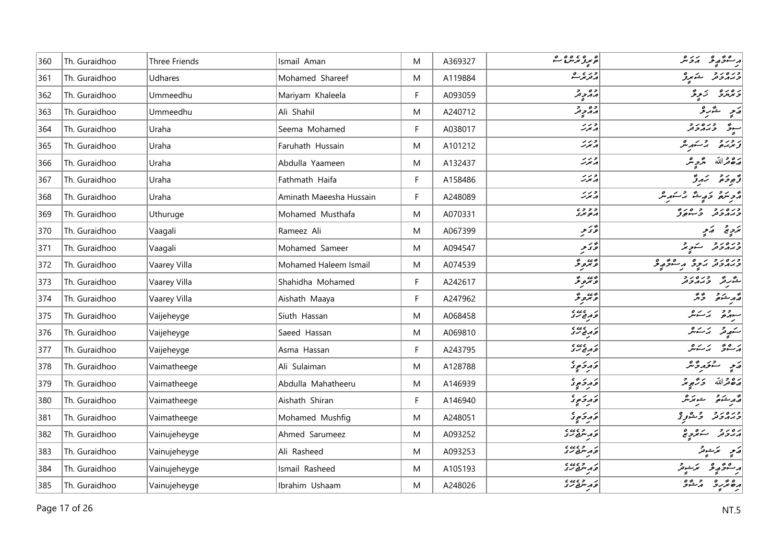| 360 | Th. Guraidhoo | <b>Three Friends</b> | Ismail Aman             | M         | A369327 | <i>ه بېرو تر</i> مبر ع                     | بر شۇم ئەر ئەر                                                                                                                                                                                                                                                                                                                          |
|-----|---------------|----------------------|-------------------------|-----------|---------|--------------------------------------------|-----------------------------------------------------------------------------------------------------------------------------------------------------------------------------------------------------------------------------------------------------------------------------------------------------------------------------------------|
| 361 | Th. Guraidhoo | Udhares              | Mohamed Shareef         | ${\sf M}$ | A119884 | د ر ،<br>مرتد بر <u>م</u>                  | ورەرو شەرو                                                                                                                                                                                                                                                                                                                              |
| 362 | Th. Guraidhoo | Ummeedhu             | Mariyam Khaleela        | F         | A093059 | ده د د<br>  د د د د                        | دەرە ئېۋ                                                                                                                                                                                                                                                                                                                                |
| 363 | Th. Guraidhoo | Ummeedhu             | Ali Shahil              | M         | A240712 | وه چوند<br>مرمز چر                         | ړې ځه د کل                                                                                                                                                                                                                                                                                                                              |
| 364 | Th. Guraidhoo | Uraha                | Seema Mohamed           | F         | A038017 | برىرىر                                     | سوځ وره د و                                                                                                                                                                                                                                                                                                                             |
| 365 | Th. Guraidhoo | Uraha                | Faruhath Hussain        | M         | A101212 | پرترر                                      | وبرود وحسكها الكرامل                                                                                                                                                                                                                                                                                                                    |
| 366 | Th. Guraidhoo | Uraha                | Abdulla Yaameen         | ${\sf M}$ | A132437 | پرسر                                       | أرة قرالله مرتحي مر                                                                                                                                                                                                                                                                                                                     |
| 367 | Th. Guraidhoo | Uraha                | Fathmath Haifa          | F         | A158486 | ەرىر                                       | ومجودة كهرو                                                                                                                                                                                                                                                                                                                             |
| 368 | Th. Guraidhoo | Uraha                | Aminath Maeesha Hussain | F         | A248089 | برىرىر                                     | أوبتم وكالمش والمرامل                                                                                                                                                                                                                                                                                                                   |
| 369 | Th. Guraidhoo | Uthuruge             | Mohamed Musthafa        | M         | A070331 | د د د د<br>مرح برد                         | 1000 - 1000<br>7900 - 1000                                                                                                                                                                                                                                                                                                              |
| 370 | Th. Guraidhoo | Vaagali              | Rameez Ali              | M         | A067399 | قۇئەمىر                                    | برَدِجْ الْمَاسِي                                                                                                                                                                                                                                                                                                                       |
| 371 | Th. Guraidhoo | Vaagali              | Mohamed Sameer          | M         | A094547 | ړ بر<br>خ تر مر                            | ورەرو سەچە                                                                                                                                                                                                                                                                                                                              |
| 372 | Th. Guraidhoo | Vaarey Villa         | Mohamed Haleem Ismail   | M         | A074539 | و بر<br>  قر تر <i>و</i> قر                | ورەرو גۇۋ بەجۇرگ                                                                                                                                                                                                                                                                                                                        |
| 373 | Th. Guraidhoo | Vaarey Villa         | Shahidha Mohamed        | F         | A242617 | ە يە<br>قەتىر <sub>ى ق</sub> ر             | شرقر ورورو                                                                                                                                                                                                                                                                                                                              |
| 374 | Th. Guraidhoo | Vaarey Villa         | Aishath Maaya           | F         | A247962 | ۇ يىمبرۇ ئى                                | أوار المستمر والمرا                                                                                                                                                                                                                                                                                                                     |
| 375 | Th. Guraidhoo | Vaijeheyge           | Siuth Hassan            | M         | A068458 | ر<br>  تحریح رئ                            | سهدهى برسكه                                                                                                                                                                                                                                                                                                                             |
| 376 | Th. Guraidhoo | Vaijeheyge           | Saeed Hassan            | M         | A069810 | ر<br>  تو مربع رئ                          | سەرپەتر - ئەسەنلەر                                                                                                                                                                                                                                                                                                                      |
| 377 | Th. Guraidhoo | Vaijeheyge           | Asma Hassan             | F         | A243795 | ر<br>تو در ج ر د                           | ى ئەشى ئەسكەنلەر                                                                                                                                                                                                                                                                                                                        |
| 378 | Th. Guraidhoo | Vaimatheege          | Ali Sulaiman            | M         | A128788 | ر<br>قەر خ <sup>ە</sup> ر ئ                | ړې د عرکار شر                                                                                                                                                                                                                                                                                                                           |
| 379 | Th. Guraidhoo | Vaimatheege          | Abdulla Mahatheeru      | M         | A146939 | <br>  عدمر حرمو ح                          | مَصْعَدَاللّهُ حَرَّجِيمَهُ                                                                                                                                                                                                                                                                                                             |
| 380 | Th. Guraidhoo | Vaimatheege          | Aishath Shiran          | F         | A146940 | ر<br>قەر قەمى                              | ۇرىشكى ئىرىكىر                                                                                                                                                                                                                                                                                                                          |
| 381 | Th. Guraidhoo | Vaimatheege          | Mohamed Mushfig         | ${\sf M}$ | A248051 | ر<br>قەر قەمى                              | ورەر د دەرە                                                                                                                                                                                                                                                                                                                             |
| 382 | Th. Guraidhoo | Vainujeheyge         | Ahmed Sarumeez          | ${\sf M}$ | A093252 | ر په دېږي د<br><i>و</i> کړ مربع کري        | رەرو سەروپى                                                                                                                                                                                                                                                                                                                             |
| 383 | Th. Guraidhoo | Vainujeheyge         | Ali Rasheed             | ${\sf M}$ | A093253 | <br>  تۇم سرقى س <sup>ى</sup> 2            | أركمني المخرجين                                                                                                                                                                                                                                                                                                                         |
| 384 | Th. Guraidhoo | Vainujeheyge         | Ismail Rasheed          | M         | A105193 | <br>  تۇمرىترىغ ئىرى                       | رەقتۇر ئىر                                                                                                                                                                                                                                                                                                                              |
| 385 | Th. Guraidhoo | Vainujeheyge         | Ibrahim Ushaam          | ${\sf M}$ | A248026 | پر جو ۽ پر ۽<br>  پر مربع سر <sub>پر</sub> | $\overline{\begin{array}{ccc} 0 & 0 & 0 & 0 \\ 0 & 0 & 0 & 0 \\ 0 & 0 & 0 & 0 \\ 0 & 0 & 0 & 0 \\ 0 & 0 & 0 & 0 \\ 0 & 0 & 0 & 0 \\ 0 & 0 & 0 & 0 \\ 0 & 0 & 0 & 0 \\ 0 & 0 & 0 & 0 \\ 0 & 0 & 0 & 0 \\ 0 & 0 & 0 & 0 \\ 0 & 0 & 0 & 0 \\ 0 & 0 & 0 & 0 \\ 0 & 0 & 0 & 0 \\ 0 & 0 & 0 & 0 \\ 0 & 0 & 0 & 0 \\ 0 & 0 & 0 & 0 \\ 0 & 0 &$ |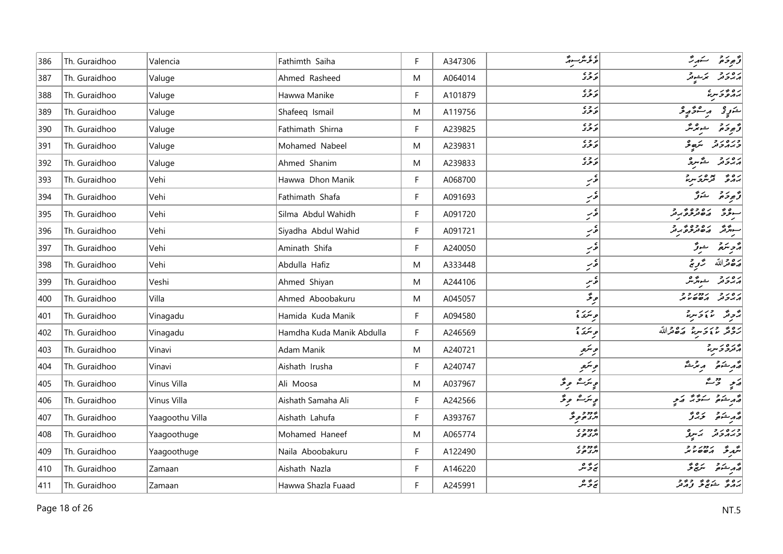| 386 | Th. Guraidhoo | Valencia        | Fathimth Saiha            | F         | A347306 | ء ئ <sub>و</sub> مبر<br> و ئومبر شور | و دو سکه شهر                                        |
|-----|---------------|-----------------|---------------------------|-----------|---------|--------------------------------------|-----------------------------------------------------|
| 387 | Th. Guraidhoo | Valuge          | Ahmed Rasheed             | M         | A064014 | ر و ،<br>و <del>و</del> و            | أرەر ئەستىر                                         |
| 388 | Th. Guraidhoo | Valuge          | Hawwa Manike              | F         | A101879 | ر و ،<br>حرمی                        | برە ئەربى                                           |
| 389 | Th. Guraidhoo | Valuge          | Shafeeq Ismail            | M         | A119756 | ر و ،<br>حرمز                        | ەرسىۋەپىۋ<br>ڪوري<br>ڪوري                           |
| 390 | Th. Guraidhoo | Valuge          | Fathimath Shirna          | F         | A239825 | ر و ،                                | ۇي <sub>ر</sub> وڭ <sub>ۇ</sub> سىرىگە              |
| 391 | Th. Guraidhoo | Valuge          | Mohamed Nabeel            | M         | A239831 | ر و ،<br>حرم د                       | ورەر دېھۇ                                           |
| 392 | Th. Guraidhoo | Valuge          | Ahmed Shanim              | ${\sf M}$ | A239833 | ر و ،<br>د تر                        | رەرد شەر                                            |
| 393 | Th. Guraidhoo | Vehi            | Hawwa Dhon Manik          | F         | A068700 | ء<br>حرسہ                            | رەپ پرەر ر                                          |
| 394 | Th. Guraidhoo | Vehi            | Fathimath Shafa           | F         | A091693 | $\overline{\phantom{a}}$             | قَ جو حريجة الشوقر                                  |
| 395 | Th. Guraidhoo | Vehi            | Silma Abdul Wahidh        | F         | A091720 | $\frac{1}{2}$                        | اسوقوقته<br>ر ه و ه و و<br>پره تروه بر تر           |
| 396 | Th. Guraidhoo | Vehi            | Siyadha Abdul Wahid       | F         | A091721 | ء<br>حرسہ                            | ر ه و ه و بر و<br>پره ترمر <i>و ب</i> ر تر<br>سەدگە |
| 397 | Th. Guraidhoo | Vehi            | Aminath Shifa             | F         | A240050 | عرب                                  | ۇ ئەسىرە<br>م<br>شەرگ                               |
| 398 | Th. Guraidhoo | Vehi            | Abdulla Hafiz             | M         | A333448 | ے بر<br>عرب                          | ەھىراللە<br>ر و د س                                 |
| 399 | Th. Guraidhoo | Veshi           | Ahmed Shiyan              | ${\sf M}$ | A244106 | ء<br>حرمر                            | رەرد ھەر                                            |
| 400 | Th. Guraidhoo | Villa           | Ahmed Aboobakuru          | ${\sf M}$ | A045057 | عريم                                 | נפני נמניין                                         |
| 401 | Th. Guraidhoo | Vinagadu        | Hamida Kuda Manik         | F         | A094580 | ىر بەر د                             | أيحرقه المؤكر سرد                                   |
| 402 | Th. Guraidhoo | Vinagadu        | Hamdha Kuda Manik Abdulla | F         | A246569 | ىر بەر د                             | رەپر دېرىر مەھمەللە                                 |
| 403 | Th. Guraidhoo | Vinavi          | Adam Manik                | M         | A240721 | ويترو                                | ב קם קיתו<br>הבקב ב ייקו                            |
| 404 | Th. Guraidhoo | Vinavi          | Aishath Irusha            | F         | A240747 | حريترجر                              |                                                     |
| 405 | Th. Guraidhoo | Vinus Villa     | Ali Moosa                 | M         | A037967 | وٍ يَرَتْ وِ ثَرَ                    | $\frac{27}{25}$ $\frac{1}{2}$                       |
| 406 | Th. Guraidhoo | Vinus Villa     | Aishath Samaha Ali        | F         | A242566 | وٍ يَرَبْ وِ وَّ                     |                                                     |
| 407 | Th. Guraidhoo | Yaagoothu Villa | Aishath Lahufa            | F         | A393767 | پردو د<br>مر <sub>ک حو</sub> موگ     | أمام المحدود                                        |
| 408 | Th. Guraidhoo | Yaagoothuge     | Mohamed Haneef            | ${\sf M}$ | A065774 | پر دو د تا<br>پور د حو پ             | ورەرو ئەرو                                          |
| 409 | Th. Guraidhoo | Yaagoothuge     | Naila Aboobakuru          | F         | A122490 | ږ د د د ع<br>پر <sub>ک</sub> ه می ی  | 52727                                               |
| 410 | Th. Guraidhoo | Zamaan          | Aishath Nazla             | F         | A146220 | ىر ئەھ                               | ۇرىشكە ئىرەم                                        |
| 411 | Th. Guraidhoo | Zamaan          | Hawwa Shazla Fuaad        | F         | A245991 | ىر ئ <sup>ە</sup> شە                 | رەپ رەپ دەر<br>بەرى خىي ئى ۋەتر                     |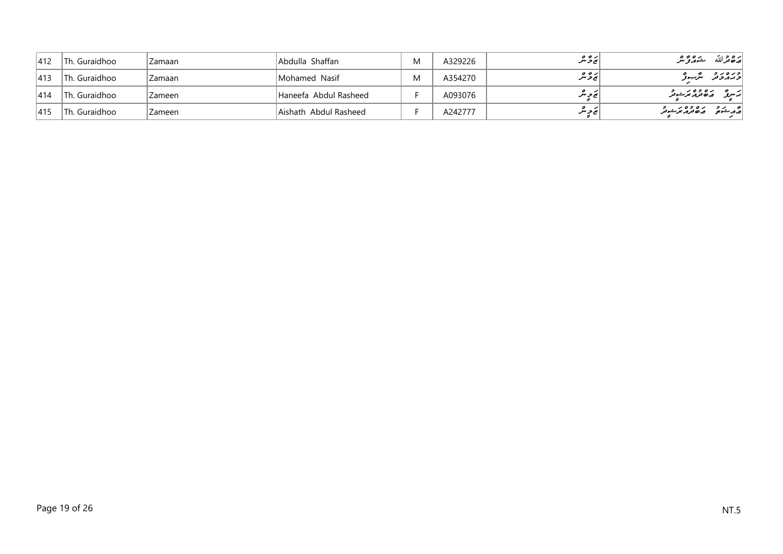| 412 | Th. Guraidhoo | ∠amaan | lAbdulla Shaffan      | M | A329226 | ئے پڑ شر    | ىش <i>ەر ۋى</i> ر<br>  پر ھ قرالله                         |
|-----|---------------|--------|-----------------------|---|---------|-------------|------------------------------------------------------------|
| 413 | Th. Guraidhoo | Zamaan | Mohamed Nasif         | M | A354270 | ئے پحە يىگە | و ره ر د<br>د بر د تر<br>ىترىبەد                           |
| 414 | Th. Guraidhoo | ∠ameen | Haneefa Abdul Rasheed |   | A093076 | سے جا سر    | پرسوتر<br>ر ٥ ۶ ٥ ٥ ر<br>پرڪ تر ۾ برشوتر                   |
| 415 | Th. Guraidhoo | Zameen | Aishath Abdul Rasheed |   | A242777 | سے جا سر    | ا در شوه در ۵۶۵ در برشونر<br>او در شوه در او در در مر شونر |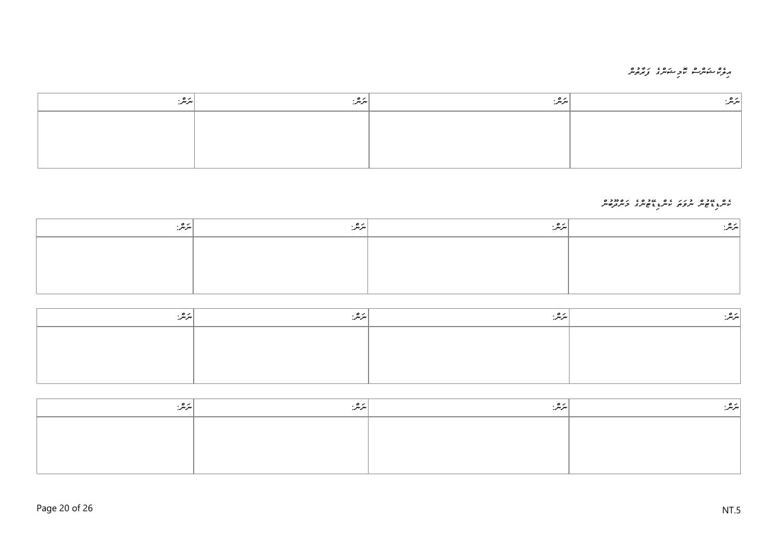## *w7qAn8m? sCw7mRo>u; wEw7mRw;sBo<*

| ' مرمر | 'يئرىثر: |
|--------|----------|
|        |          |
|        |          |
|        |          |

## *w7q9r@w7m> sCw7qHtFoFw7s; mAm=q7 w7qHtFoFw7s;*

| يئرمىش: | $^{\circ}$<br>. سر سر<br>$\cdot$ | $\circ$ $\sim$<br>-- | يئرمثر |
|---------|----------------------------------|----------------------|--------|
|         |                                  |                      |        |
|         |                                  |                      |        |
|         |                                  |                      |        |

| انترنثر: | $^{\circ}$ | يبرهر | $^{\circ}$<br>سرسر |
|----------|------------|-------|--------------------|
|          |            |       |                    |
|          |            |       |                    |
|          |            |       |                    |

| ' ئىرتىر: | سر سر |  |
|-----------|-------|--|
|           |       |  |
|           |       |  |
|           |       |  |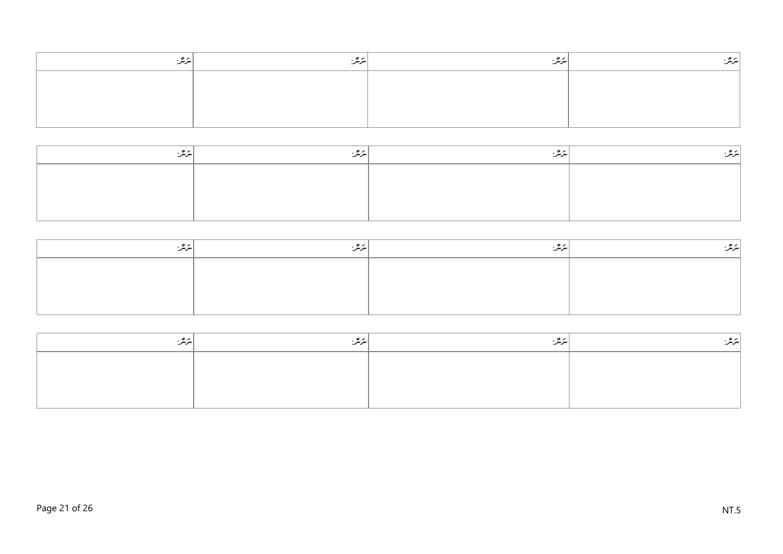| يره. | ο. | ا ير ه |  |
|------|----|--------|--|
|      |    |        |  |
|      |    |        |  |
|      |    |        |  |

| <sup>.</sup> سرسر. |  |
|--------------------|--|
|                    |  |
|                    |  |
|                    |  |

| ىئرىتر. | $\sim$ | ا بر هه. | لىرىش |
|---------|--------|----------|-------|
|         |        |          |       |
|         |        |          |       |
|         |        |          |       |

| 。<br>مرس. | $\overline{\phantom{a}}$<br>مر مىر | ىرىر |
|-----------|------------------------------------|------|
|           |                                    |      |
|           |                                    |      |
|           |                                    |      |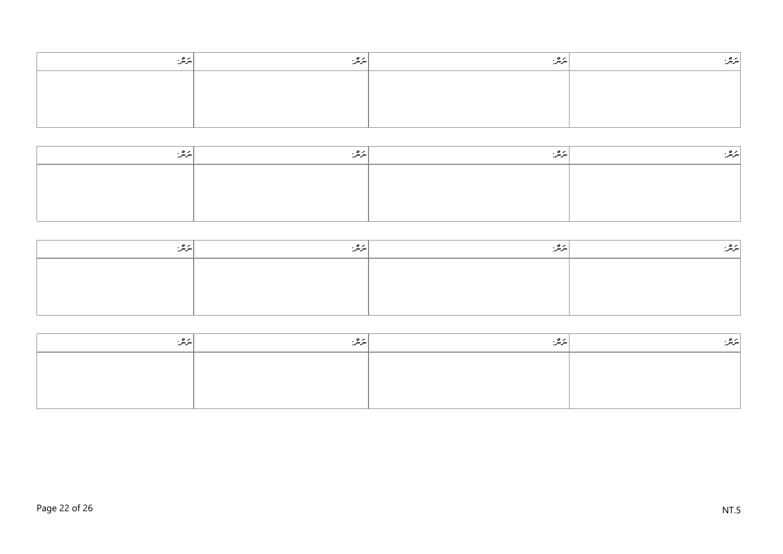| ير هو . | $\overline{\phantom{a}}$ | يرمر | اير هنه. |
|---------|--------------------------|------|----------|
|         |                          |      |          |
|         |                          |      |          |
|         |                          |      |          |

| ئىرتىر: | $\sim$<br>ا سرسر . | يئرمثر | o . |
|---------|--------------------|--------|-----|
|         |                    |        |     |
|         |                    |        |     |
|         |                    |        |     |

| الترنثر: | ' مرتكز: | الترنثر: | .,<br>سرسر. |
|----------|----------|----------|-------------|
|          |          |          |             |
|          |          |          |             |
|          |          |          |             |

|  | . ه |
|--|-----|
|  |     |
|  |     |
|  |     |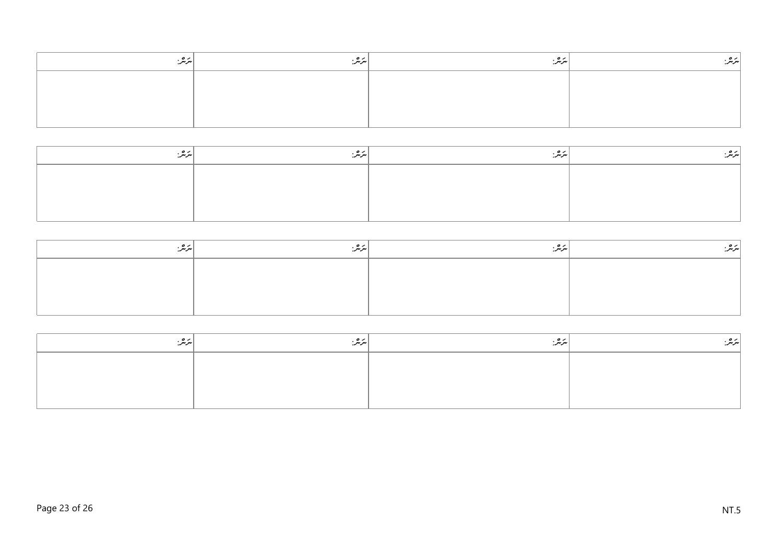| ير هو . | $\overline{\phantom{a}}$ | يرمر | اير هنه. |
|---------|--------------------------|------|----------|
|         |                          |      |          |
|         |                          |      |          |
|         |                          |      |          |

| ىر ھ | $\circ$ $\sim$<br>ا سرسر. | $\circ$ $\sim$<br>' سرسر . | o <i>~</i><br>سرسر. |
|------|---------------------------|----------------------------|---------------------|
|      |                           |                            |                     |
|      |                           |                            |                     |
|      |                           |                            |                     |

| 'تترنثر: | . .<br>يسمونس. |  |
|----------|----------------|--|
|          |                |  |
|          |                |  |
|          |                |  |

|  | . ه |
|--|-----|
|  |     |
|  |     |
|  |     |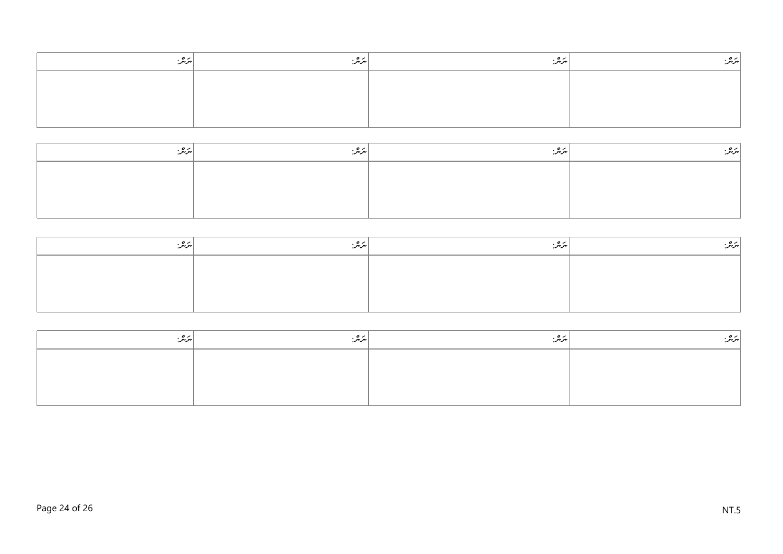| $\cdot$ | 。 | $\frac{\circ}{\cdot}$ | $\sim$<br>سرسر |
|---------|---|-----------------------|----------------|
|         |   |                       |                |
|         |   |                       |                |
|         |   |                       |                |

| يريثن | ' سرسر . |  |
|-------|----------|--|
|       |          |  |
|       |          |  |
|       |          |  |

| بر ه | . ه | $\sim$<br>سرسر |  |
|------|-----|----------------|--|
|      |     |                |  |
|      |     |                |  |
|      |     |                |  |

| 。<br>. س | ىرىىر |  |
|----------|-------|--|
|          |       |  |
|          |       |  |
|          |       |  |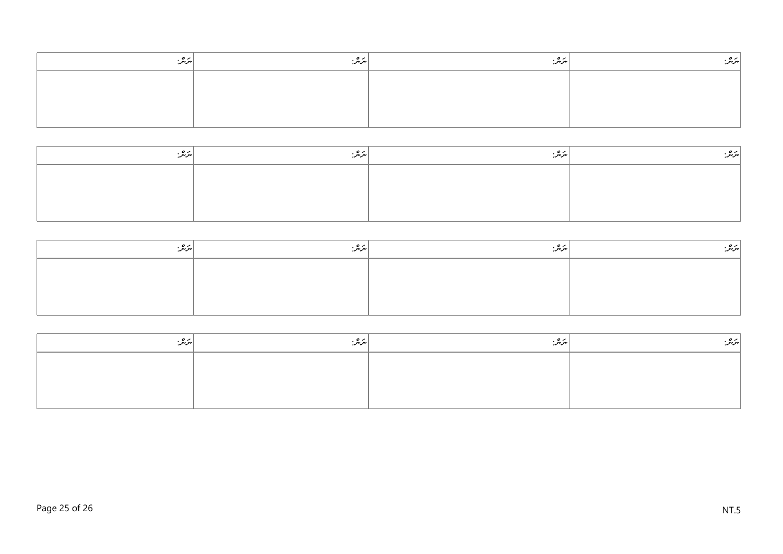| ير هو . | $\overline{\phantom{a}}$ | يرمر | اير هنه. |
|---------|--------------------------|------|----------|
|         |                          |      |          |
|         |                          |      |          |
|         |                          |      |          |

| ىر تىر: | $\circ$ $\sim$<br>" سرسر . | يترمير | o . |
|---------|----------------------------|--------|-----|
|         |                            |        |     |
|         |                            |        |     |
|         |                            |        |     |

| 'تترنثر: | . .<br>يسمونس. |  |
|----------|----------------|--|
|          |                |  |
|          |                |  |
|          |                |  |

|  | . ه |
|--|-----|
|  |     |
|  |     |
|  |     |